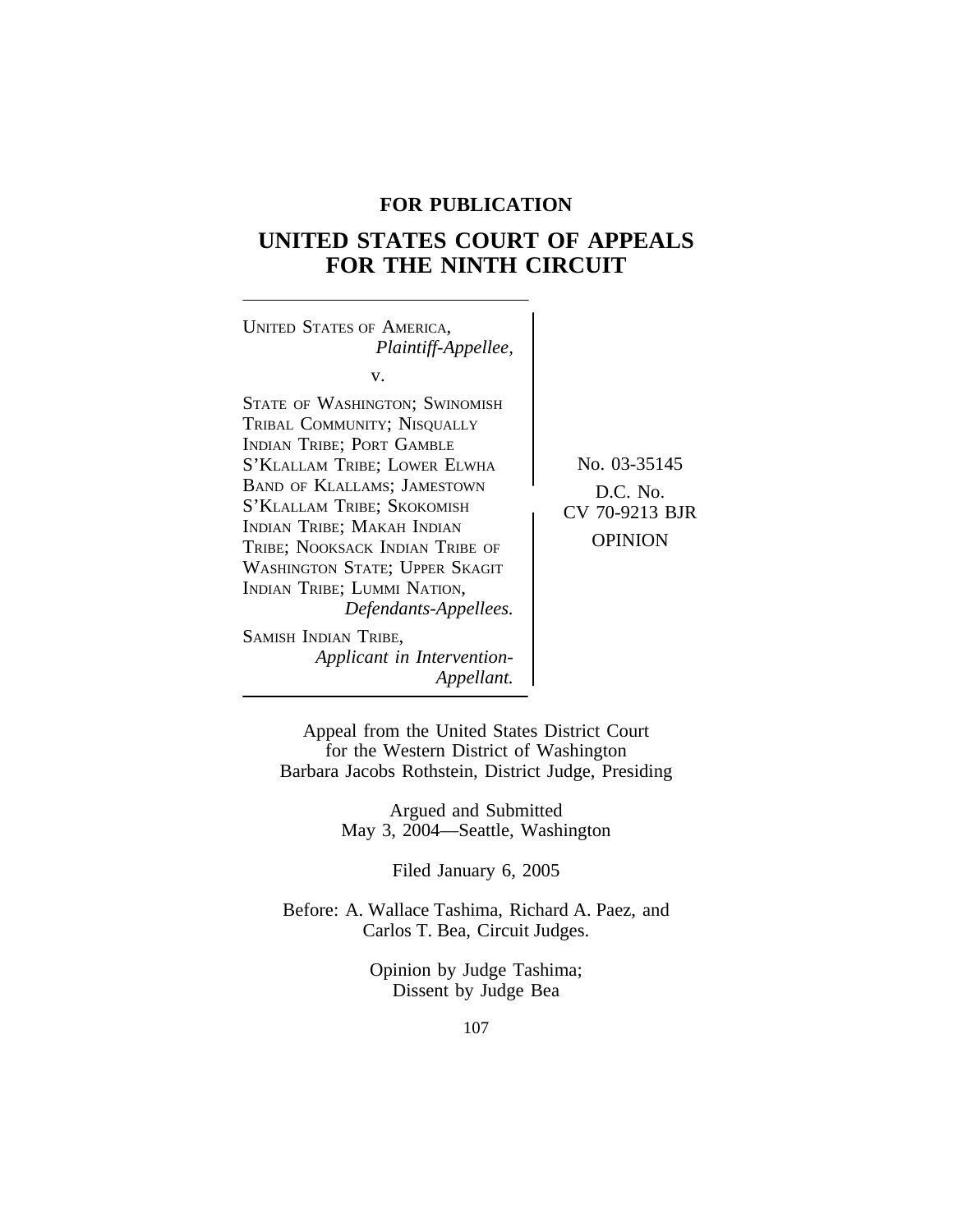## **FOR PUBLICATION**

# **UNITED STATES COURT OF APPEALS FOR THE NINTH CIRCUIT**



Appeal from the United States District Court for the Western District of Washington Barbara Jacobs Rothstein, District Judge, Presiding

> Argued and Submitted May 3, 2004—Seattle, Washington

> > Filed January 6, 2005

Before: A. Wallace Tashima, Richard A. Paez, and Carlos T. Bea, Circuit Judges.

> Opinion by Judge Tashima; Dissent by Judge Bea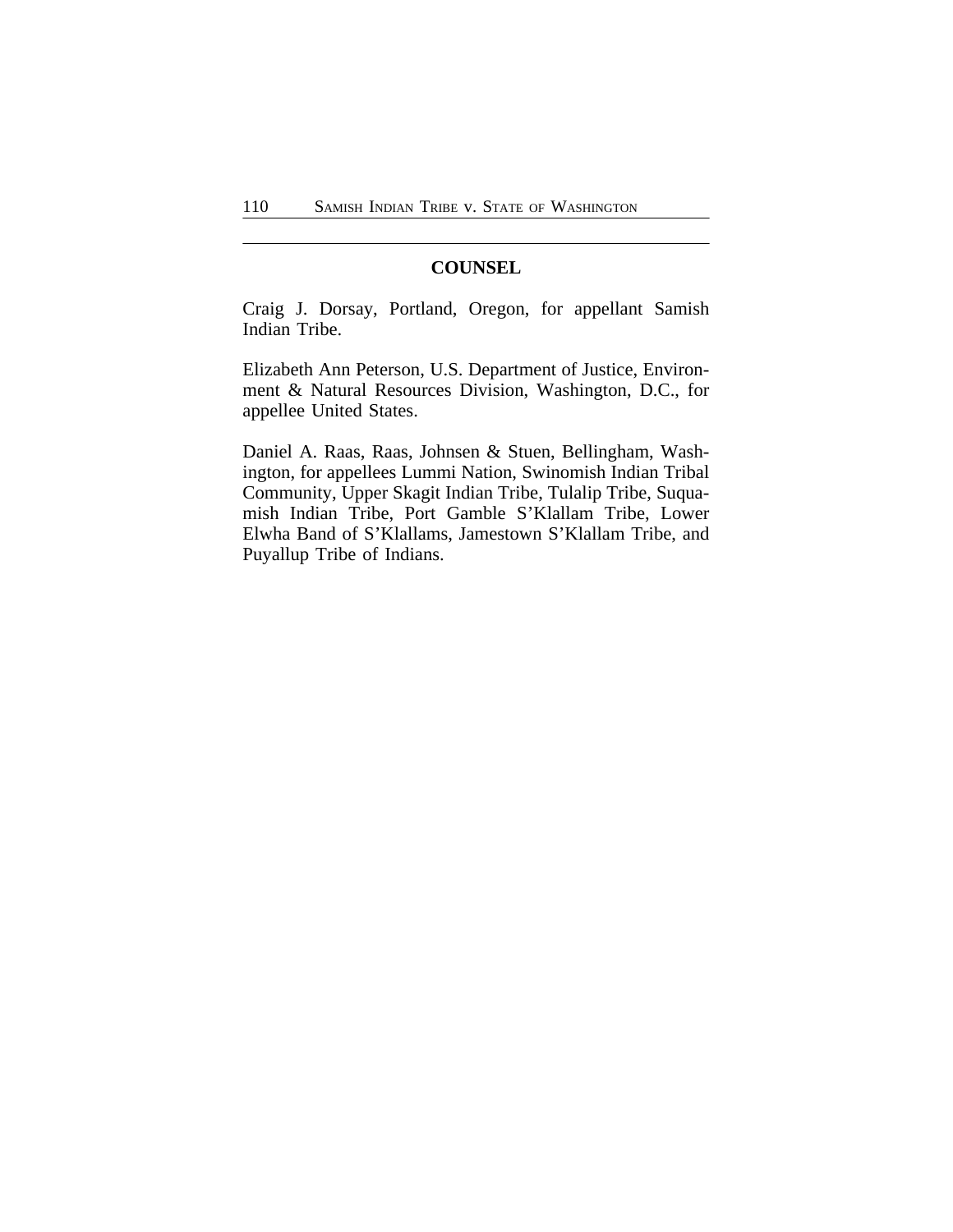## **COUNSEL**

Craig J. Dorsay, Portland, Oregon, for appellant Samish Indian Tribe.

Elizabeth Ann Peterson, U.S. Department of Justice, Environment & Natural Resources Division, Washington, D.C., for appellee United States.

Daniel A. Raas, Raas, Johnsen & Stuen, Bellingham, Washington, for appellees Lummi Nation, Swinomish Indian Tribal Community, Upper Skagit Indian Tribe, Tulalip Tribe, Suquamish Indian Tribe, Port Gamble S'Klallam Tribe, Lower Elwha Band of S'Klallams, Jamestown S'Klallam Tribe, and Puyallup Tribe of Indians.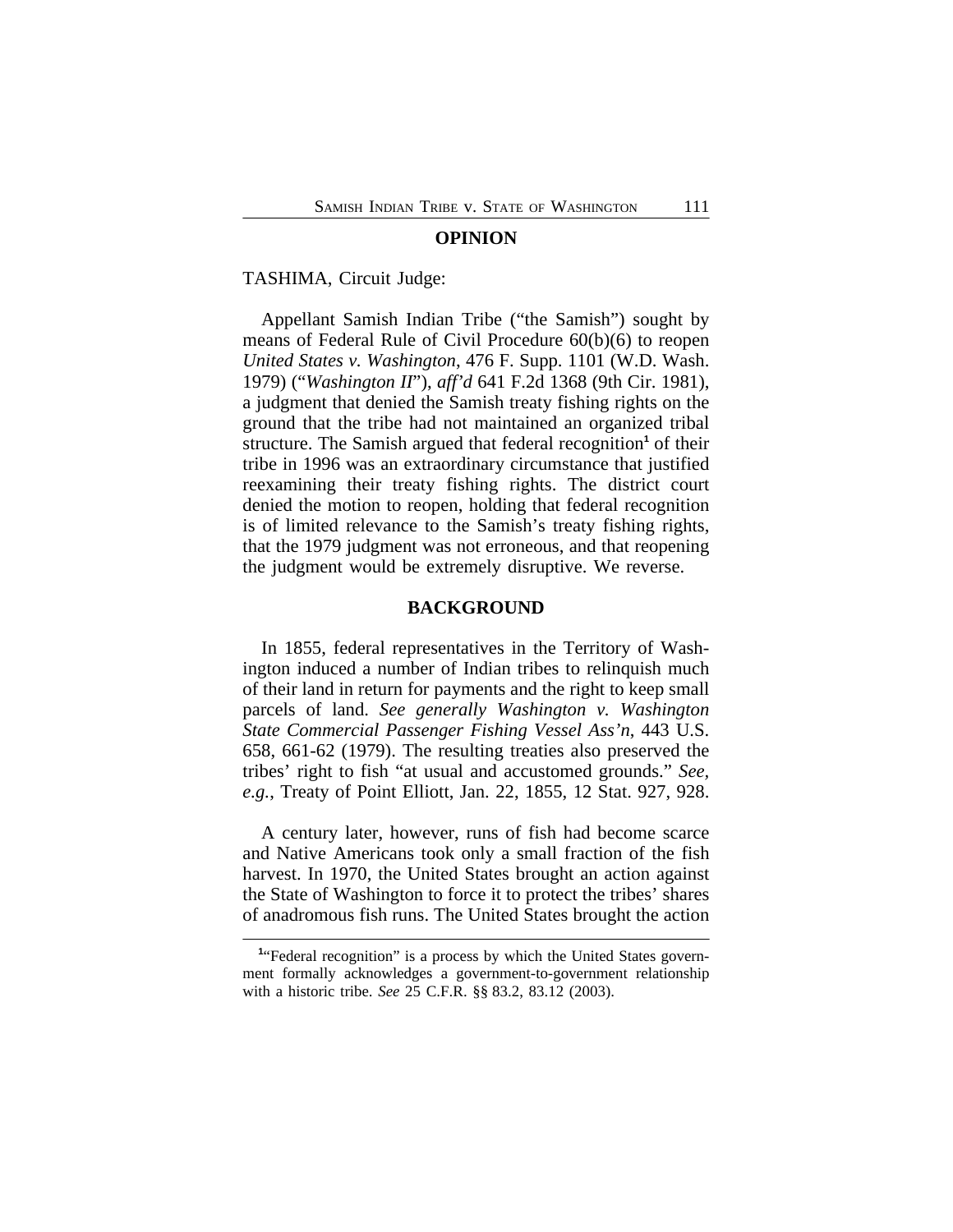#### **OPINION**

#### TASHIMA, Circuit Judge:

Appellant Samish Indian Tribe ("the Samish") sought by means of Federal Rule of Civil Procedure 60(b)(6) to reopen *United States v. Washington*, 476 F. Supp. 1101 (W.D. Wash. 1979) ("*Washington II*"), *aff'd* 641 F.2d 1368 (9th Cir. 1981), a judgment that denied the Samish treaty fishing rights on the ground that the tribe had not maintained an organized tribal structure. The Samish argued that federal recognition<sup>1</sup> of their tribe in 1996 was an extraordinary circumstance that justified reexamining their treaty fishing rights. The district court denied the motion to reopen, holding that federal recognition is of limited relevance to the Samish's treaty fishing rights, that the 1979 judgment was not erroneous, and that reopening the judgment would be extremely disruptive. We reverse.

### **BACKGROUND**

In 1855, federal representatives in the Territory of Washington induced a number of Indian tribes to relinquish much of their land in return for payments and the right to keep small parcels of land. *See generally Washington v. Washington State Commercial Passenger Fishing Vessel Ass'n*, 443 U.S. 658, 661-62 (1979). The resulting treaties also preserved the tribes' right to fish "at usual and accustomed grounds." *See, e.g.*, Treaty of Point Elliott, Jan. 22, 1855, 12 Stat. 927, 928.

A century later, however, runs of fish had become scarce and Native Americans took only a small fraction of the fish harvest. In 1970, the United States brought an action against the State of Washington to force it to protect the tribes' shares of anadromous fish runs. The United States brought the action

<sup>&</sup>lt;sup>1</sup>"Federal recognition" is a process by which the United States government formally acknowledges a government-to-government relationship with a historic tribe. *See* 25 C.F.R. §§ 83.2, 83.12 (2003).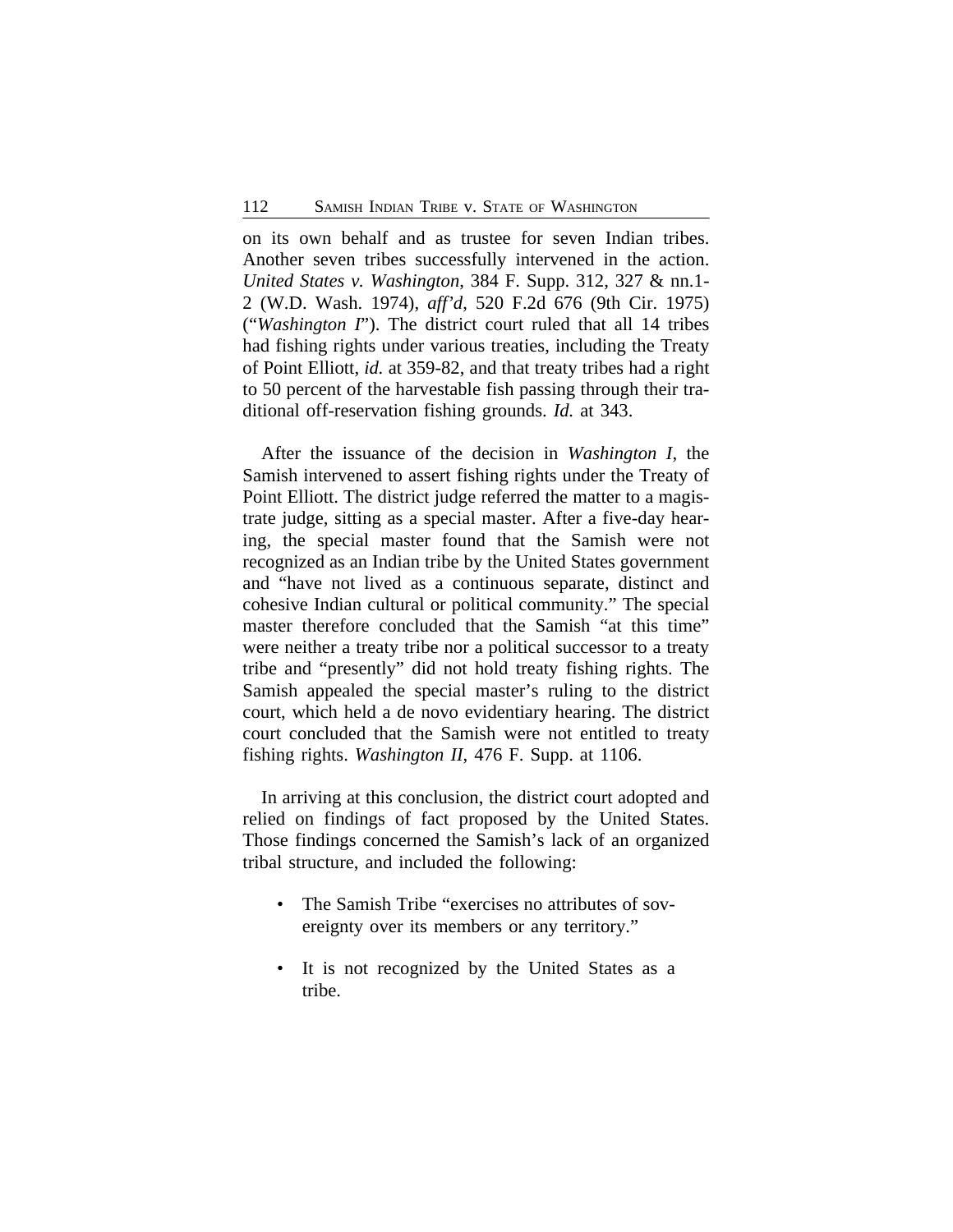on its own behalf and as trustee for seven Indian tribes. Another seven tribes successfully intervened in the action. *United States v. Washington*, 384 F. Supp. 312, 327 & nn.1- 2 (W.D. Wash. 1974), *aff'd*, 520 F.2d 676 (9th Cir. 1975) ("*Washington I*"). The district court ruled that all 14 tribes had fishing rights under various treaties, including the Treaty of Point Elliott, *id.* at 359-82, and that treaty tribes had a right to 50 percent of the harvestable fish passing through their traditional off-reservation fishing grounds. *Id.* at 343.

After the issuance of the decision in *Washington I*, the Samish intervened to assert fishing rights under the Treaty of Point Elliott. The district judge referred the matter to a magistrate judge, sitting as a special master. After a five-day hearing, the special master found that the Samish were not recognized as an Indian tribe by the United States government and "have not lived as a continuous separate, distinct and cohesive Indian cultural or political community." The special master therefore concluded that the Samish "at this time" were neither a treaty tribe nor a political successor to a treaty tribe and "presently" did not hold treaty fishing rights. The Samish appealed the special master's ruling to the district court, which held a de novo evidentiary hearing. The district court concluded that the Samish were not entitled to treaty fishing rights. *Washington II*, 476 F. Supp. at 1106.

In arriving at this conclusion, the district court adopted and relied on findings of fact proposed by the United States. Those findings concerned the Samish's lack of an organized tribal structure, and included the following:

- The Samish Tribe "exercises no attributes of sovereignty over its members or any territory."
- It is not recognized by the United States as a tribe.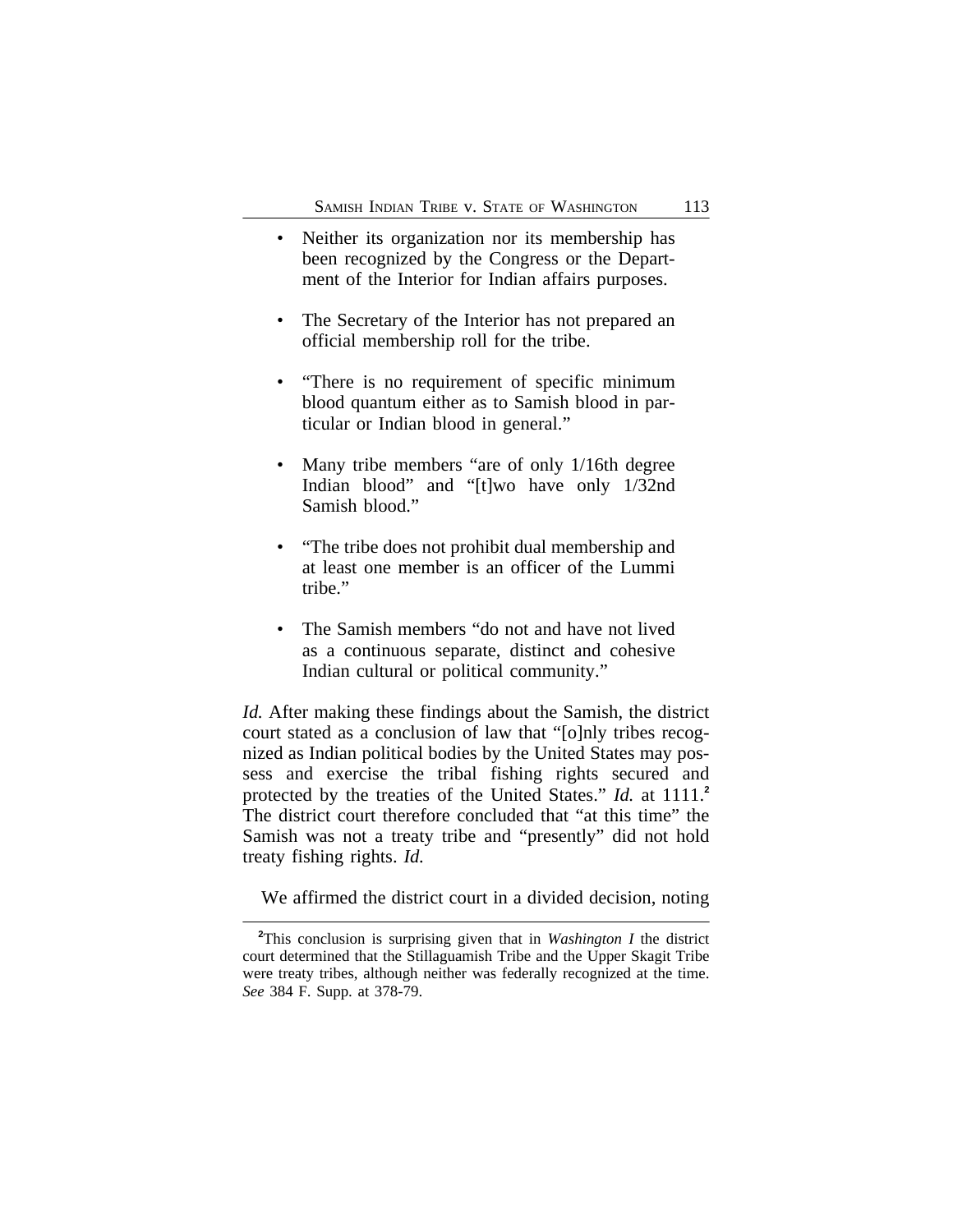- Neither its organization nor its membership has been recognized by the Congress or the Department of the Interior for Indian affairs purposes.
- The Secretary of the Interior has not prepared an official membership roll for the tribe.
- "There is no requirement of specific minimum blood quantum either as to Samish blood in particular or Indian blood in general."
- Many tribe members "are of only 1/16th degree Indian blood" and "[t]wo have only 1/32nd Samish blood."
- "The tribe does not prohibit dual membership and at least one member is an officer of the Lummi tribe."
- The Samish members "do not and have not lived as a continuous separate, distinct and cohesive Indian cultural or political community."

*Id.* After making these findings about the Samish, the district court stated as a conclusion of law that "[o]nly tribes recognized as Indian political bodies by the United States may possess and exercise the tribal fishing rights secured and protected by the treaties of the United States." *Id.* at 1111.**<sup>2</sup>** The district court therefore concluded that "at this time" the Samish was not a treaty tribe and "presently" did not hold treaty fishing rights. *Id.*

We affirmed the district court in a divided decision, noting

**<sup>2</sup>**This conclusion is surprising given that in *Washington I* the district court determined that the Stillaguamish Tribe and the Upper Skagit Tribe were treaty tribes, although neither was federally recognized at the time. *See* 384 F. Supp. at 378-79.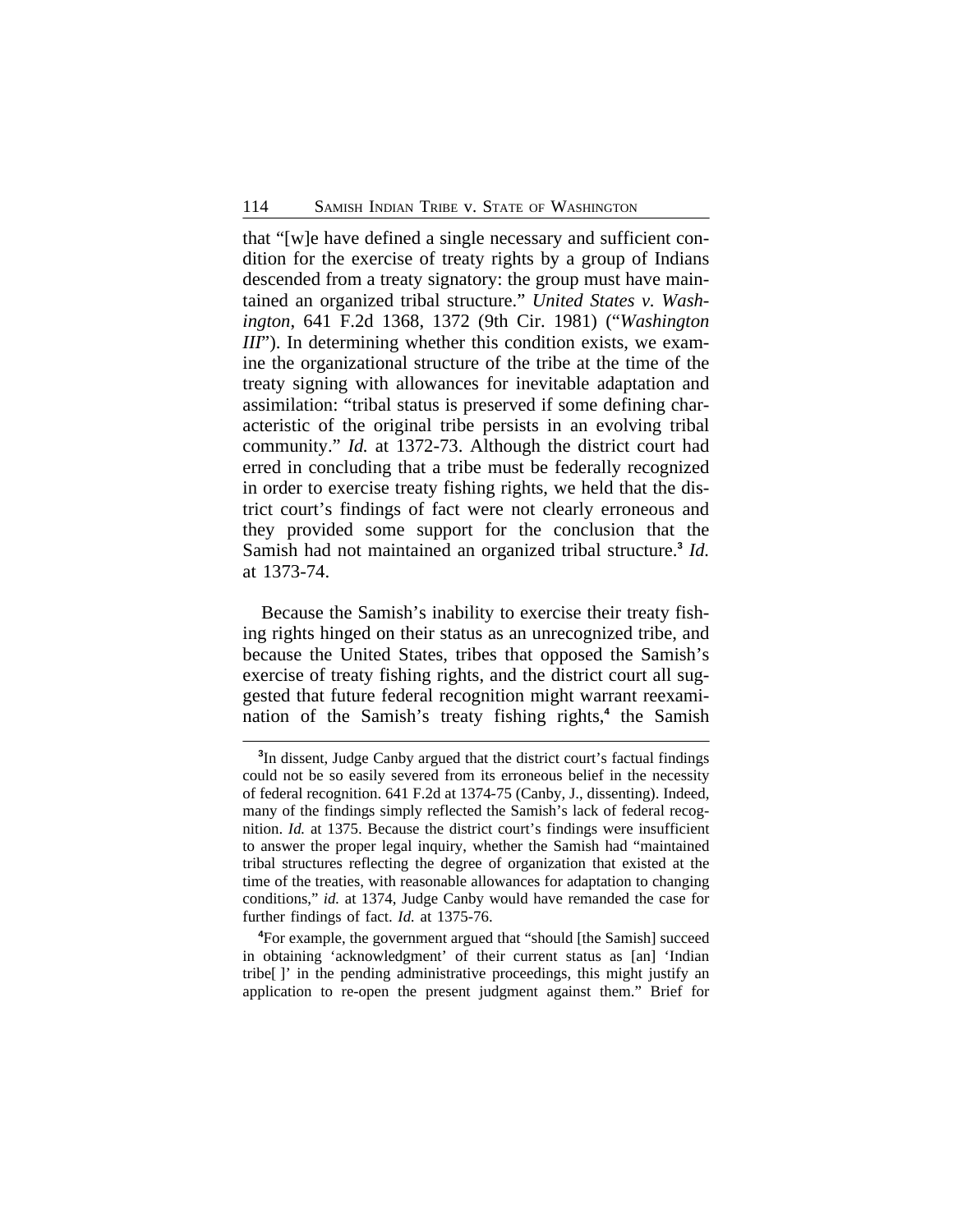that "[w]e have defined a single necessary and sufficient condition for the exercise of treaty rights by a group of Indians descended from a treaty signatory: the group must have maintained an organized tribal structure." *United States v. Washington*, 641 F.2d 1368, 1372 (9th Cir. 1981) ("*Washington III*"). In determining whether this condition exists, we examine the organizational structure of the tribe at the time of the treaty signing with allowances for inevitable adaptation and assimilation: "tribal status is preserved if some defining characteristic of the original tribe persists in an evolving tribal community." *Id.* at 1372-73. Although the district court had erred in concluding that a tribe must be federally recognized in order to exercise treaty fishing rights, we held that the district court's findings of fact were not clearly erroneous and they provided some support for the conclusion that the Samish had not maintained an organized tribal structure.**<sup>3</sup>** *Id.* at 1373-74.

Because the Samish's inability to exercise their treaty fishing rights hinged on their status as an unrecognized tribe, and because the United States, tribes that opposed the Samish's exercise of treaty fishing rights, and the district court all suggested that future federal recognition might warrant reexamination of the Samish's treaty fishing rights,**<sup>4</sup>** the Samish

**<sup>4</sup>**For example, the government argued that "should [the Samish] succeed in obtaining 'acknowledgment' of their current status as [an] 'Indian tribe[ ]' in the pending administrative proceedings, this might justify an application to re-open the present judgment against them." Brief for

**<sup>3</sup>** In dissent, Judge Canby argued that the district court's factual findings could not be so easily severed from its erroneous belief in the necessity of federal recognition. 641 F.2d at 1374-75 (Canby, J., dissenting). Indeed, many of the findings simply reflected the Samish's lack of federal recognition. *Id.* at 1375. Because the district court's findings were insufficient to answer the proper legal inquiry, whether the Samish had "maintained tribal structures reflecting the degree of organization that existed at the time of the treaties, with reasonable allowances for adaptation to changing conditions," *id.* at 1374, Judge Canby would have remanded the case for further findings of fact. *Id.* at 1375-76.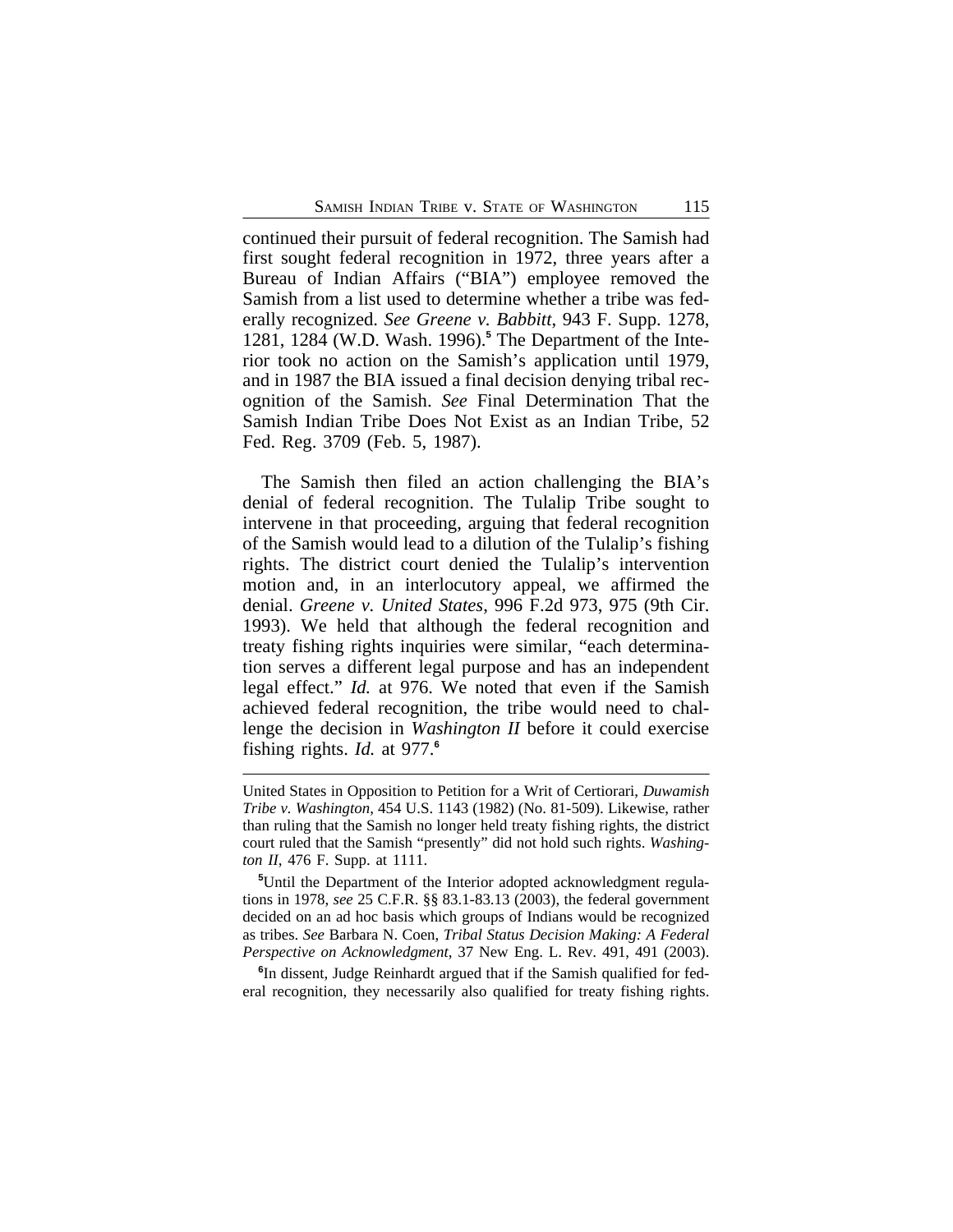continued their pursuit of federal recognition. The Samish had first sought federal recognition in 1972, three years after a Bureau of Indian Affairs ("BIA") employee removed the Samish from a list used to determine whether a tribe was federally recognized. *See Greene v. Babbitt*, 943 F. Supp. 1278, 1281, 1284 (W.D. Wash. 1996).**<sup>5</sup>** The Department of the Interior took no action on the Samish's application until 1979, and in 1987 the BIA issued a final decision denying tribal recognition of the Samish. *See* Final Determination That the Samish Indian Tribe Does Not Exist as an Indian Tribe, 52 Fed. Reg. 3709 (Feb. 5, 1987).

The Samish then filed an action challenging the BIA's denial of federal recognition. The Tulalip Tribe sought to intervene in that proceeding, arguing that federal recognition of the Samish would lead to a dilution of the Tulalip's fishing rights. The district court denied the Tulalip's intervention motion and, in an interlocutory appeal, we affirmed the denial. *Greene v. United States*, 996 F.2d 973, 975 (9th Cir. 1993). We held that although the federal recognition and treaty fishing rights inquiries were similar, "each determination serves a different legal purpose and has an independent legal effect." *Id.* at 976. We noted that even if the Samish achieved federal recognition, the tribe would need to challenge the decision in *Washington II* before it could exercise fishing rights. *Id.* at 977.**<sup>6</sup>**

**6** In dissent, Judge Reinhardt argued that if the Samish qualified for federal recognition, they necessarily also qualified for treaty fishing rights.

United States in Opposition to Petition for a Writ of Certiorari, *Duwamish Tribe v. Washington*, 454 U.S. 1143 (1982) (No. 81-509). Likewise, rather than ruling that the Samish no longer held treaty fishing rights, the district court ruled that the Samish "presently" did not hold such rights. *Washington II*, 476 F. Supp. at 1111.

**<sup>5</sup>**Until the Department of the Interior adopted acknowledgment regulations in 1978, *see* 25 C.F.R. §§ 83.1-83.13 (2003), the federal government decided on an ad hoc basis which groups of Indians would be recognized as tribes. *See* Barbara N. Coen, *Tribal Status Decision Making: A Federal Perspective on Acknowledgment*, 37 New Eng. L. Rev. 491, 491 (2003).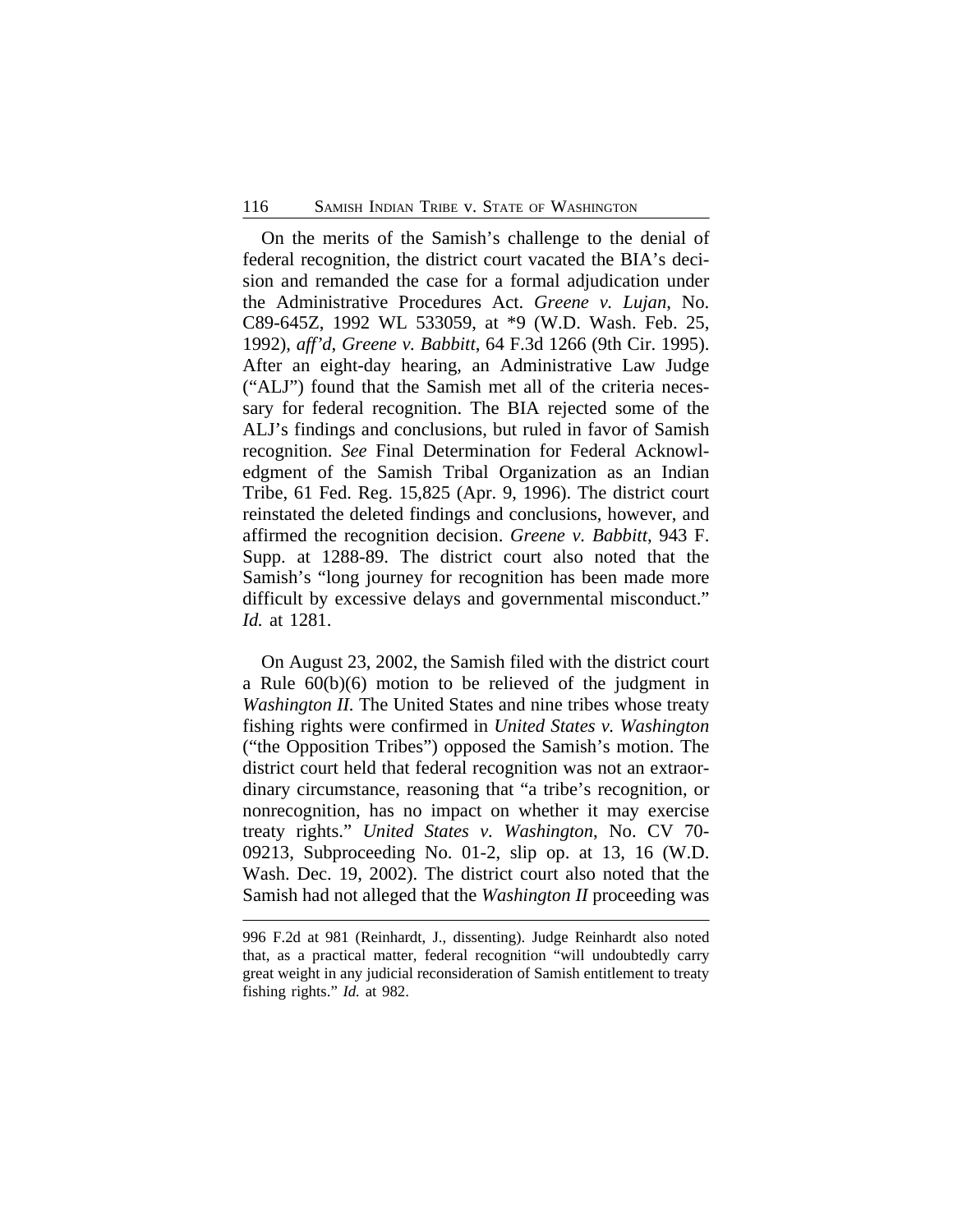On the merits of the Samish's challenge to the denial of federal recognition, the district court vacated the BIA's decision and remanded the case for a formal adjudication under the Administrative Procedures Act. *Greene v. Lujan*, No. C89-645Z, 1992 WL 533059, at \*9 (W.D. Wash. Feb. 25, 1992), *aff'd*, *Greene v. Babbitt*, 64 F.3d 1266 (9th Cir. 1995). After an eight-day hearing, an Administrative Law Judge ("ALJ") found that the Samish met all of the criteria necessary for federal recognition. The BIA rejected some of the ALJ's findings and conclusions, but ruled in favor of Samish recognition. *See* Final Determination for Federal Acknowledgment of the Samish Tribal Organization as an Indian Tribe, 61 Fed. Reg. 15,825 (Apr. 9, 1996). The district court reinstated the deleted findings and conclusions, however, and affirmed the recognition decision. *Greene v. Babbitt*, 943 F. Supp. at 1288-89. The district court also noted that the Samish's "long journey for recognition has been made more difficult by excessive delays and governmental misconduct." *Id.* at 1281.

On August 23, 2002, the Samish filed with the district court a Rule 60(b)(6) motion to be relieved of the judgment in *Washington II.* The United States and nine tribes whose treaty fishing rights were confirmed in *United States v. Washington* ("the Opposition Tribes") opposed the Samish's motion. The district court held that federal recognition was not an extraordinary circumstance, reasoning that "a tribe's recognition, or nonrecognition, has no impact on whether it may exercise treaty rights." *United States v. Washington*, No. CV 70- 09213, Subproceeding No. 01-2, slip op. at 13, 16 (W.D. Wash. Dec. 19, 2002). The district court also noted that the Samish had not alleged that the *Washington II* proceeding was

<sup>996</sup> F.2d at 981 (Reinhardt, J., dissenting). Judge Reinhardt also noted that, as a practical matter, federal recognition "will undoubtedly carry great weight in any judicial reconsideration of Samish entitlement to treaty fishing rights." *Id.* at 982.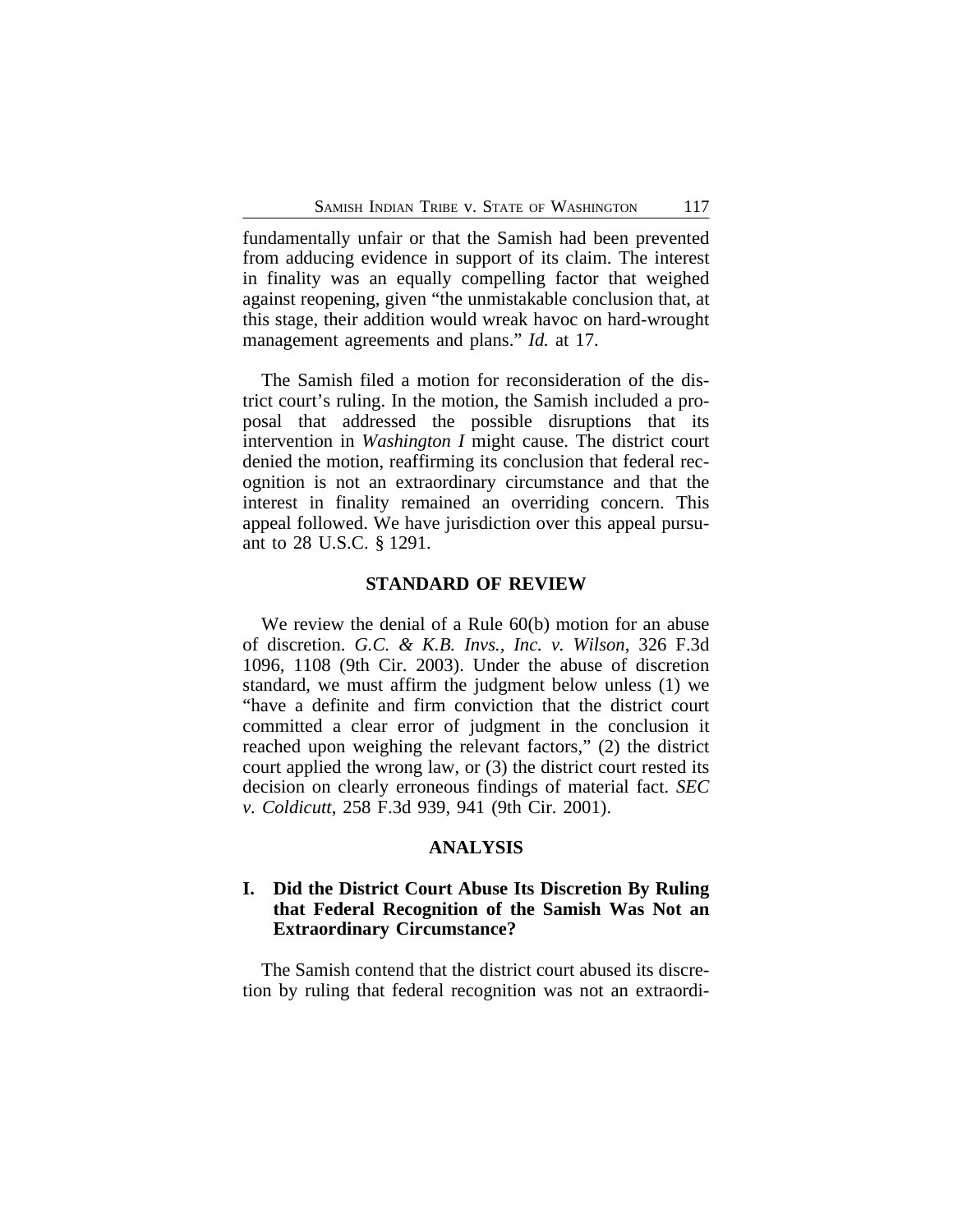fundamentally unfair or that the Samish had been prevented from adducing evidence in support of its claim. The interest in finality was an equally compelling factor that weighed against reopening, given "the unmistakable conclusion that, at this stage, their addition would wreak havoc on hard-wrought management agreements and plans." *Id.* at 17.

The Samish filed a motion for reconsideration of the district court's ruling. In the motion, the Samish included a proposal that addressed the possible disruptions that its intervention in *Washington I* might cause. The district court denied the motion, reaffirming its conclusion that federal recognition is not an extraordinary circumstance and that the interest in finality remained an overriding concern. This appeal followed. We have jurisdiction over this appeal pursuant to 28 U.S.C. § 1291.

#### **STANDARD OF REVIEW**

We review the denial of a Rule 60(b) motion for an abuse of discretion. *G.C. & K.B. Invs., Inc. v. Wilson*, 326 F.3d 1096, 1108 (9th Cir. 2003). Under the abuse of discretion standard, we must affirm the judgment below unless (1) we "have a definite and firm conviction that the district court committed a clear error of judgment in the conclusion it reached upon weighing the relevant factors," (2) the district court applied the wrong law, or (3) the district court rested its decision on clearly erroneous findings of material fact. *SEC v. Coldicutt*, 258 F.3d 939, 941 (9th Cir. 2001).

### **ANALYSIS**

## **I. Did the District Court Abuse Its Discretion By Ruling that Federal Recognition of the Samish Was Not an Extraordinary Circumstance?**

The Samish contend that the district court abused its discretion by ruling that federal recognition was not an extraordi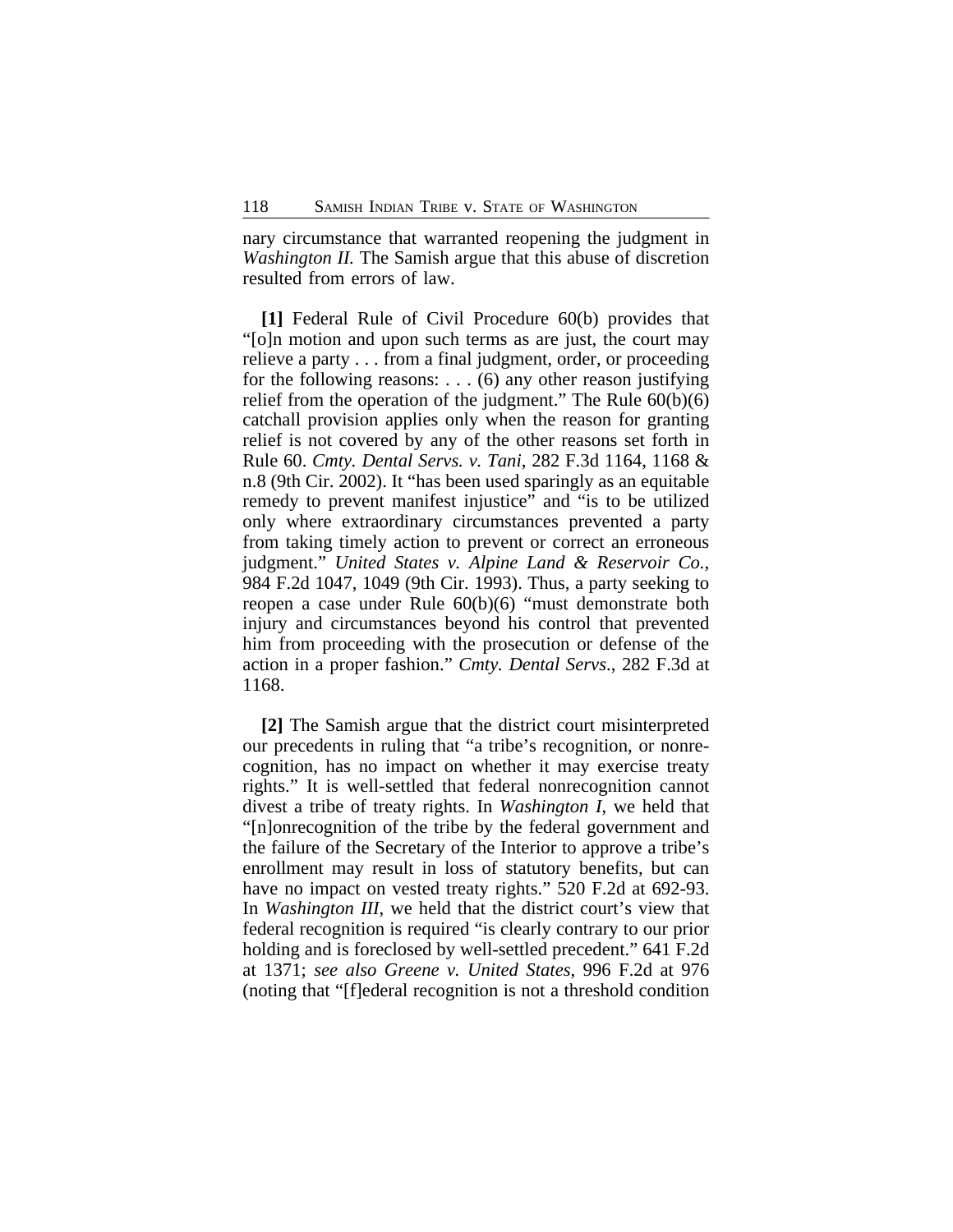nary circumstance that warranted reopening the judgment in *Washington II.* The Samish argue that this abuse of discretion resulted from errors of law.

**[1]** Federal Rule of Civil Procedure 60(b) provides that "[o]n motion and upon such terms as are just, the court may relieve a party . . . from a final judgment, order, or proceeding for the following reasons:  $\dots$  (6) any other reason justifying relief from the operation of the judgment." The Rule  $60(b)(6)$ catchall provision applies only when the reason for granting relief is not covered by any of the other reasons set forth in Rule 60. *Cmty. Dental Servs. v. Tani*, 282 F.3d 1164, 1168 & n.8 (9th Cir. 2002). It "has been used sparingly as an equitable remedy to prevent manifest injustice" and "is to be utilized only where extraordinary circumstances prevented a party from taking timely action to prevent or correct an erroneous judgment." *United States v. Alpine Land & Reservoir Co.*, 984 F.2d 1047, 1049 (9th Cir. 1993). Thus, a party seeking to reopen a case under Rule 60(b)(6) "must demonstrate both injury and circumstances beyond his control that prevented him from proceeding with the prosecution or defense of the action in a proper fashion." *Cmty. Dental Servs*., 282 F.3d at 1168.

**[2]** The Samish argue that the district court misinterpreted our precedents in ruling that "a tribe's recognition, or nonrecognition, has no impact on whether it may exercise treaty rights." It is well-settled that federal nonrecognition cannot divest a tribe of treaty rights. In *Washington I*, we held that "[n]onrecognition of the tribe by the federal government and the failure of the Secretary of the Interior to approve a tribe's enrollment may result in loss of statutory benefits, but can have no impact on vested treaty rights." 520 F.2d at 692-93. In *Washington III*, we held that the district court's view that federal recognition is required "is clearly contrary to our prior holding and is foreclosed by well-settled precedent." 641 F.2d at 1371; *see also Greene v. United States*, 996 F.2d at 976 (noting that "[f]ederal recognition is not a threshold condition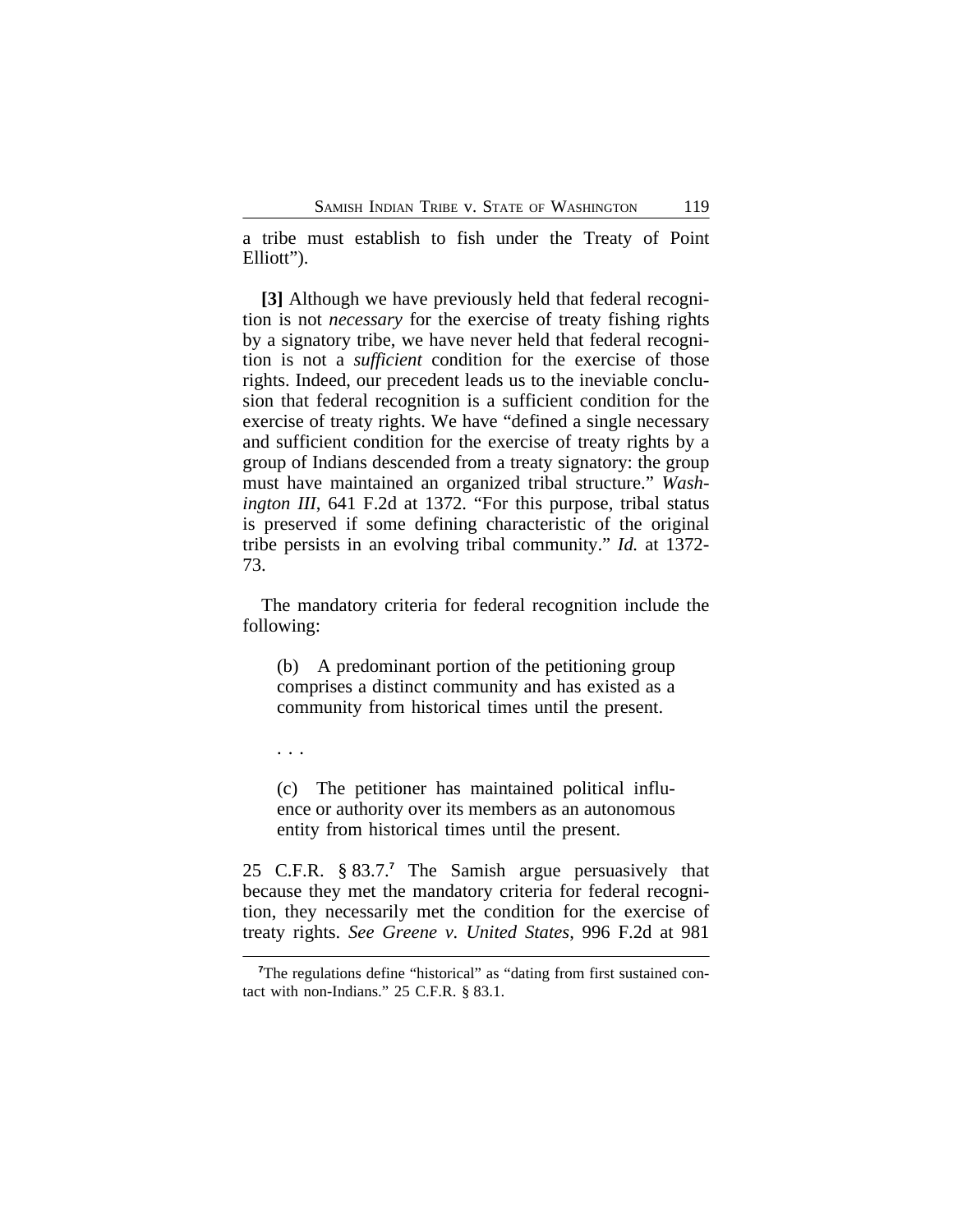a tribe must establish to fish under the Treaty of Point Elliott").

**[3]** Although we have previously held that federal recognition is not *necessary* for the exercise of treaty fishing rights by a signatory tribe, we have never held that federal recognition is not a *sufficient* condition for the exercise of those rights. Indeed, our precedent leads us to the ineviable conclusion that federal recognition is a sufficient condition for the exercise of treaty rights. We have "defined a single necessary and sufficient condition for the exercise of treaty rights by a group of Indians descended from a treaty signatory: the group must have maintained an organized tribal structure." *Washington III*, 641 F.2d at 1372. "For this purpose, tribal status is preserved if some defining characteristic of the original tribe persists in an evolving tribal community." *Id.* at 1372- 73.

The mandatory criteria for federal recognition include the following:

(b) A predominant portion of the petitioning group comprises a distinct community and has existed as a community from historical times until the present.

. . .

(c) The petitioner has maintained political influence or authority over its members as an autonomous entity from historical times until the present.

25 C.F.R. § 83.7.**<sup>7</sup>** The Samish argue persuasively that because they met the mandatory criteria for federal recognition, they necessarily met the condition for the exercise of treaty rights. *See Greene v. United States*, 996 F.2d at 981

<sup>&</sup>lt;sup>7</sup>The regulations define "historical" as "dating from first sustained contact with non-Indians." 25 C.F.R. § 83.1.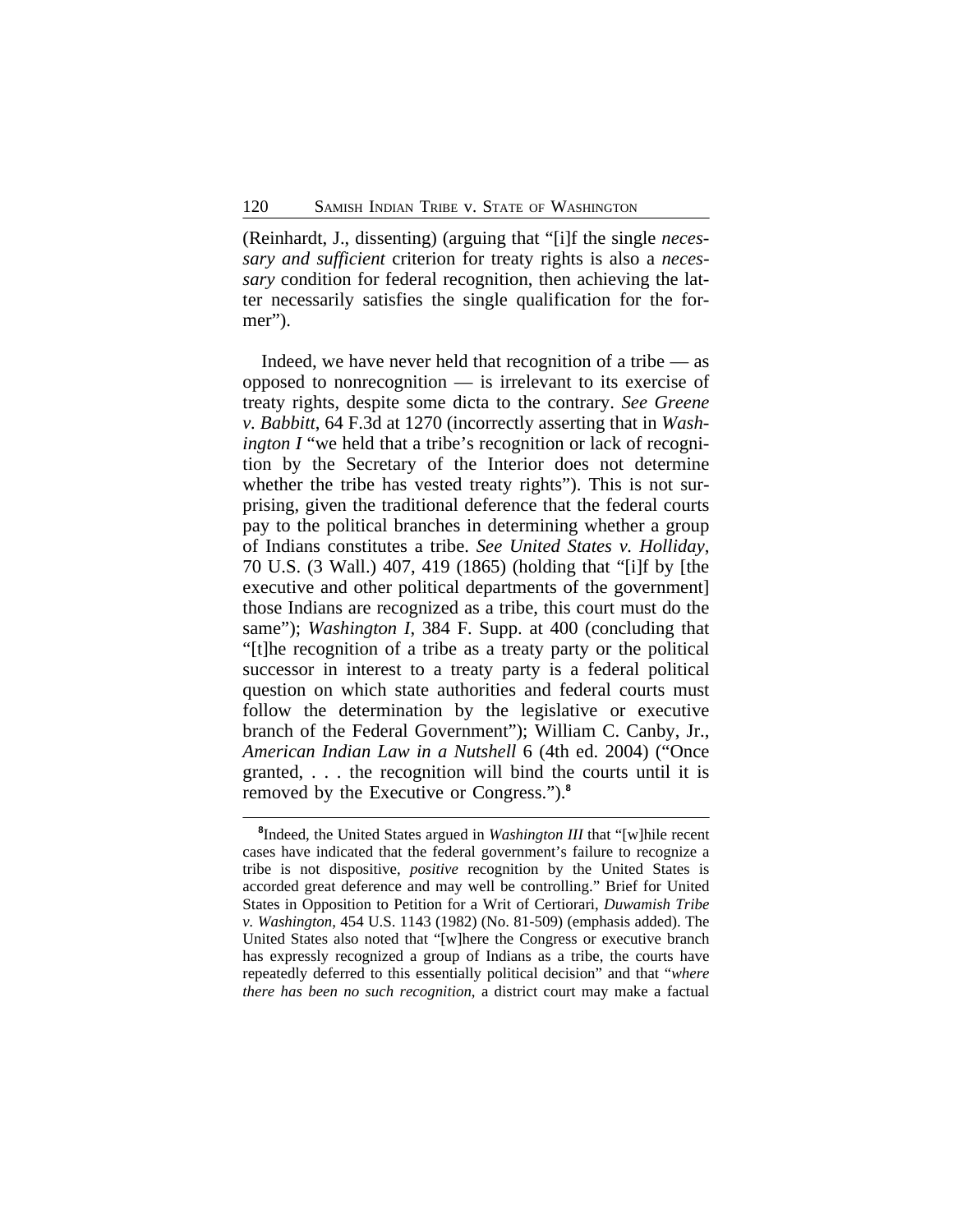(Reinhardt, J., dissenting) (arguing that "[i]f the single *necessary and sufficient* criterion for treaty rights is also a *necessary* condition for federal recognition, then achieving the latter necessarily satisfies the single qualification for the former").

Indeed, we have never held that recognition of a tribe — as opposed to nonrecognition — is irrelevant to its exercise of treaty rights, despite some dicta to the contrary. *See Greene v. Babbitt*, 64 F.3d at 1270 (incorrectly asserting that in *Washington I* "we held that a tribe's recognition or lack of recognition by the Secretary of the Interior does not determine whether the tribe has vested treaty rights"). This is not surprising, given the traditional deference that the federal courts pay to the political branches in determining whether a group of Indians constitutes a tribe. *See United States v. Holliday*, 70 U.S. (3 Wall.) 407, 419 (1865) (holding that "[i]f by [the executive and other political departments of the government] those Indians are recognized as a tribe, this court must do the same"); *Washington I*, 384 F. Supp. at 400 (concluding that "[t]he recognition of a tribe as a treaty party or the political successor in interest to a treaty party is a federal political question on which state authorities and federal courts must follow the determination by the legislative or executive branch of the Federal Government"); William C. Canby, Jr., *American Indian Law in a Nutshell* 6 (4th ed. 2004) ("Once granted, . . . the recognition will bind the courts until it is removed by the Executive or Congress.").**<sup>8</sup>**

**<sup>8</sup>** Indeed, the United States argued in *Washington III* that "[w]hile recent cases have indicated that the federal government's failure to recognize a tribe is not dispositive, *positive* recognition by the United States is accorded great deference and may well be controlling." Brief for United States in Opposition to Petition for a Writ of Certiorari, *Duwamish Tribe v. Washington*, 454 U.S. 1143 (1982) (No. 81-509) (emphasis added). The United States also noted that "[w]here the Congress or executive branch has expressly recognized a group of Indians as a tribe, the courts have repeatedly deferred to this essentially political decision" and that "*where there has been no such recognition*, a district court may make a factual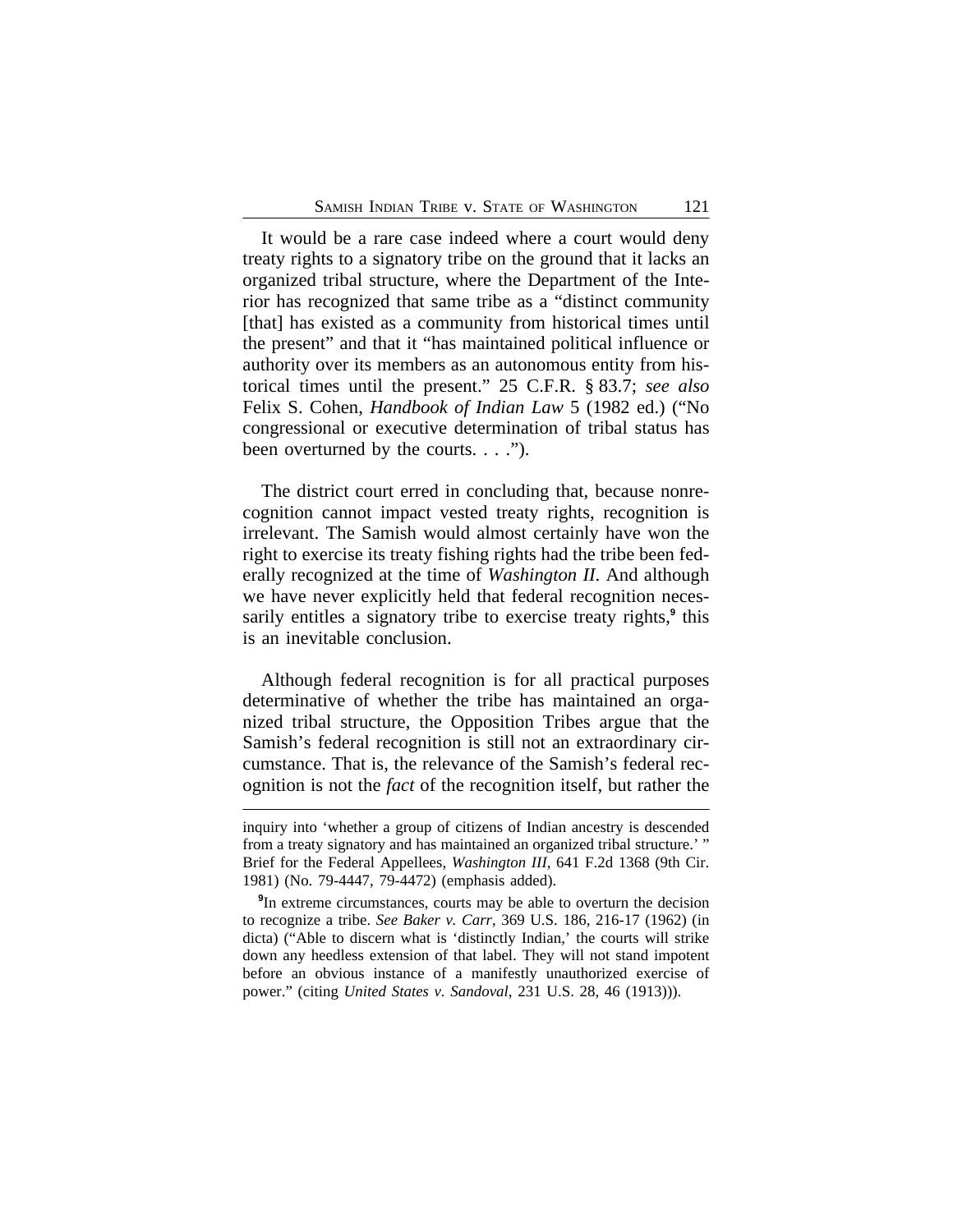It would be a rare case indeed where a court would deny treaty rights to a signatory tribe on the ground that it lacks an organized tribal structure, where the Department of the Interior has recognized that same tribe as a "distinct community [that] has existed as a community from historical times until the present" and that it "has maintained political influence or authority over its members as an autonomous entity from historical times until the present." 25 C.F.R. § 83.7; *see also* Felix S. Cohen, *Handbook of Indian Law* 5 (1982 ed.) ("No congressional or executive determination of tribal status has been overturned by the courts. . . .").

The district court erred in concluding that, because nonrecognition cannot impact vested treaty rights, recognition is irrelevant. The Samish would almost certainly have won the right to exercise its treaty fishing rights had the tribe been federally recognized at the time of *Washington II*. And although we have never explicitly held that federal recognition necessarily entitles a signatory tribe to exercise treaty rights,**<sup>9</sup>** this is an inevitable conclusion.

Although federal recognition is for all practical purposes determinative of whether the tribe has maintained an organized tribal structure, the Opposition Tribes argue that the Samish's federal recognition is still not an extraordinary circumstance. That is, the relevance of the Samish's federal recognition is not the *fact* of the recognition itself, but rather the

inquiry into 'whether a group of citizens of Indian ancestry is descended from a treaty signatory and has maintained an organized tribal structure.' " Brief for the Federal Appellees, *Washington III*, 641 F.2d 1368 (9th Cir. 1981) (No. 79-4447, 79-4472) (emphasis added).

**<sup>9</sup>** In extreme circumstances, courts may be able to overturn the decision to recognize a tribe. *See Baker v. Carr*, 369 U.S. 186, 216-17 (1962) (in dicta) ("Able to discern what is 'distinctly Indian,' the courts will strike down any heedless extension of that label. They will not stand impotent before an obvious instance of a manifestly unauthorized exercise of power." (citing *United States v. Sandoval*, 231 U.S. 28, 46 (1913))).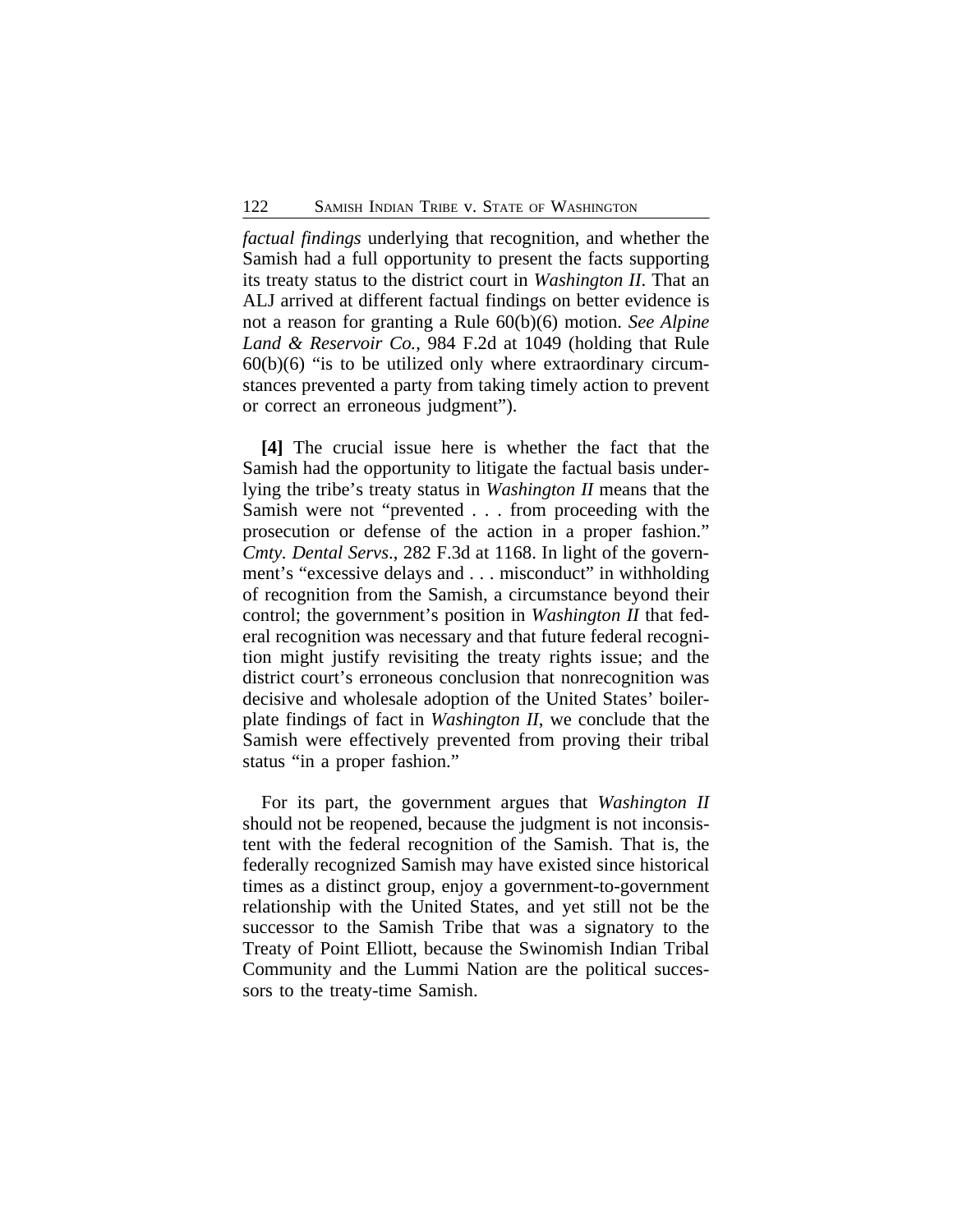*factual findings* underlying that recognition, and whether the Samish had a full opportunity to present the facts supporting its treaty status to the district court in *Washington II*. That an ALJ arrived at different factual findings on better evidence is not a reason for granting a Rule 60(b)(6) motion. *See Alpine Land & Reservoir Co.*, 984 F.2d at 1049 (holding that Rule  $60(b)(6)$  "is to be utilized only where extraordinary circumstances prevented a party from taking timely action to prevent or correct an erroneous judgment").

**[4]** The crucial issue here is whether the fact that the Samish had the opportunity to litigate the factual basis underlying the tribe's treaty status in *Washington II* means that the Samish were not "prevented . . . from proceeding with the prosecution or defense of the action in a proper fashion." *Cmty. Dental Servs*., 282 F.3d at 1168. In light of the government's "excessive delays and . . . misconduct" in withholding of recognition from the Samish, a circumstance beyond their control; the government's position in *Washington II* that federal recognition was necessary and that future federal recognition might justify revisiting the treaty rights issue; and the district court's erroneous conclusion that nonrecognition was decisive and wholesale adoption of the United States' boilerplate findings of fact in *Washington II*, we conclude that the Samish were effectively prevented from proving their tribal status "in a proper fashion."

For its part, the government argues that *Washington II* should not be reopened, because the judgment is not inconsistent with the federal recognition of the Samish. That is, the federally recognized Samish may have existed since historical times as a distinct group, enjoy a government-to-government relationship with the United States, and yet still not be the successor to the Samish Tribe that was a signatory to the Treaty of Point Elliott, because the Swinomish Indian Tribal Community and the Lummi Nation are the political successors to the treaty-time Samish.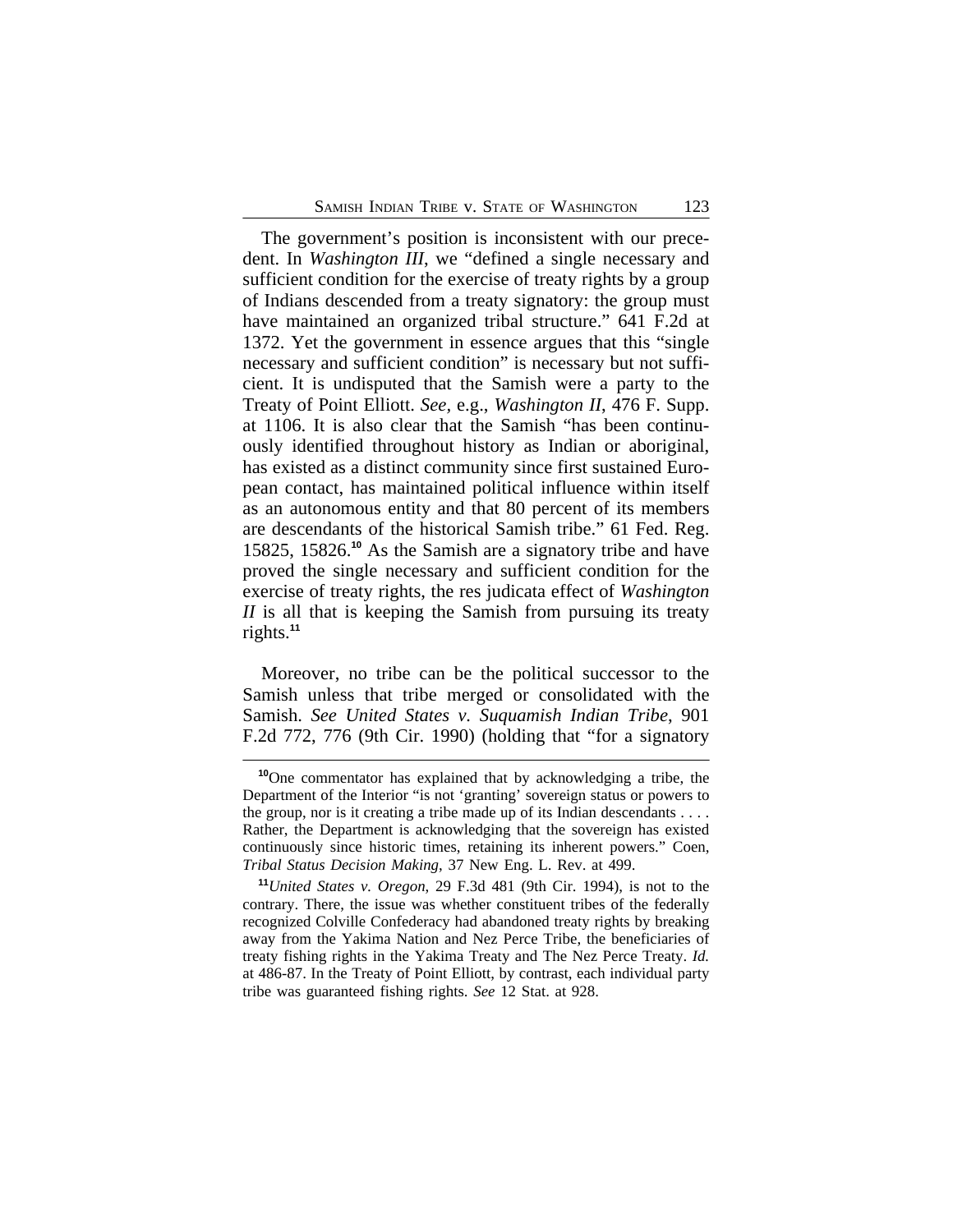The government's position is inconsistent with our precedent. In *Washington III*, we "defined a single necessary and sufficient condition for the exercise of treaty rights by a group of Indians descended from a treaty signatory: the group must have maintained an organized tribal structure." 641 F.2d at 1372. Yet the government in essence argues that this "single necessary and sufficient condition" is necessary but not sufficient. It is undisputed that the Samish were a party to the Treaty of Point Elliott. *See,* e.g., *Washington II*, 476 F. Supp. at 1106. It is also clear that the Samish "has been continuously identified throughout history as Indian or aboriginal, has existed as a distinct community since first sustained European contact, has maintained political influence within itself as an autonomous entity and that 80 percent of its members are descendants of the historical Samish tribe." 61 Fed. Reg. 15825, 15826.**<sup>10</sup>** As the Samish are a signatory tribe and have proved the single necessary and sufficient condition for the exercise of treaty rights, the res judicata effect of *Washington II* is all that is keeping the Samish from pursuing its treaty rights.**<sup>11</sup>**

Moreover, no tribe can be the political successor to the Samish unless that tribe merged or consolidated with the Samish. *See United States v. Suquamish Indian Tribe*, 901 F.2d 772, 776 (9th Cir. 1990) (holding that "for a signatory

**<sup>10</sup>**One commentator has explained that by acknowledging a tribe, the Department of the Interior "is not 'granting' sovereign status or powers to the group, nor is it creating a tribe made up of its Indian descendants  $\dots$ Rather, the Department is acknowledging that the sovereign has existed continuously since historic times, retaining its inherent powers." Coen, *Tribal Status Decision Making*, 37 New Eng. L. Rev. at 499.

**<sup>11</sup>***United States v. Oregon*, 29 F.3d 481 (9th Cir. 1994), is not to the contrary. There, the issue was whether constituent tribes of the federally recognized Colville Confederacy had abandoned treaty rights by breaking away from the Yakima Nation and Nez Perce Tribe, the beneficiaries of treaty fishing rights in the Yakima Treaty and The Nez Perce Treaty. *Id.* at 486-87. In the Treaty of Point Elliott, by contrast, each individual party tribe was guaranteed fishing rights. *See* 12 Stat. at 928.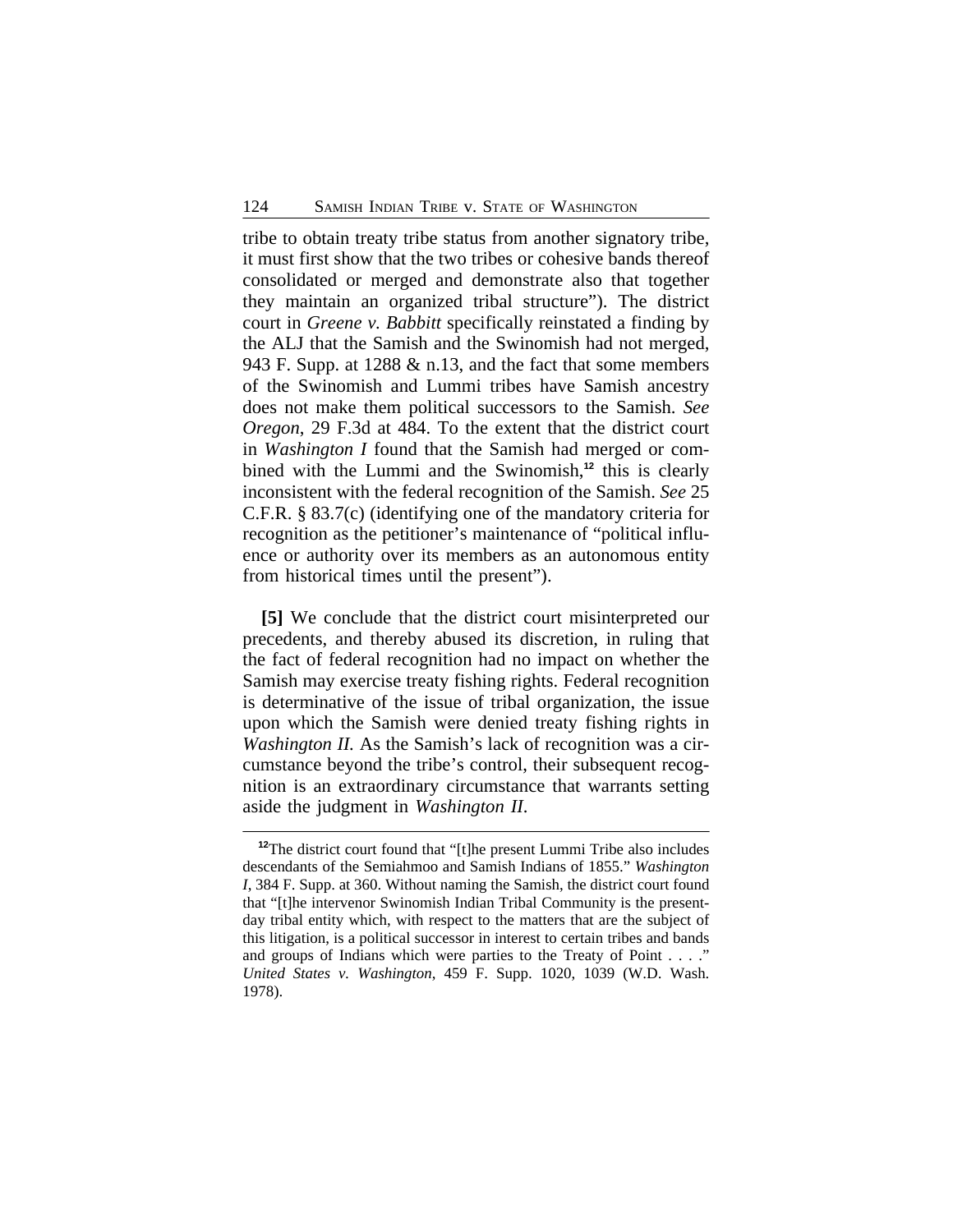tribe to obtain treaty tribe status from another signatory tribe, it must first show that the two tribes or cohesive bands thereof consolidated or merged and demonstrate also that together they maintain an organized tribal structure"). The district court in *Greene v. Babbitt* specifically reinstated a finding by the ALJ that the Samish and the Swinomish had not merged, 943 F. Supp. at 1288 & n.13, and the fact that some members of the Swinomish and Lummi tribes have Samish ancestry does not make them political successors to the Samish. *See Oregon*, 29 F.3d at 484. To the extent that the district court in *Washington I* found that the Samish had merged or combined with the Lummi and the Swinomish,**<sup>12</sup>** this is clearly inconsistent with the federal recognition of the Samish. *See* 25 C.F.R. § 83.7(c) (identifying one of the mandatory criteria for recognition as the petitioner's maintenance of "political influence or authority over its members as an autonomous entity from historical times until the present").

**[5]** We conclude that the district court misinterpreted our precedents, and thereby abused its discretion, in ruling that the fact of federal recognition had no impact on whether the Samish may exercise treaty fishing rights. Federal recognition is determinative of the issue of tribal organization, the issue upon which the Samish were denied treaty fishing rights in *Washington II.* As the Samish's lack of recognition was a circumstance beyond the tribe's control, their subsequent recognition is an extraordinary circumstance that warrants setting aside the judgment in *Washington II*.

**<sup>12</sup>**The district court found that "[t]he present Lummi Tribe also includes descendants of the Semiahmoo and Samish Indians of 1855." *Washington I*, 384 F. Supp. at 360. Without naming the Samish, the district court found that "[t]he intervenor Swinomish Indian Tribal Community is the presentday tribal entity which, with respect to the matters that are the subject of this litigation, is a political successor in interest to certain tribes and bands and groups of Indians which were parties to the Treaty of Point . . . ." *United States v. Washington*, 459 F. Supp. 1020, 1039 (W.D. Wash. 1978).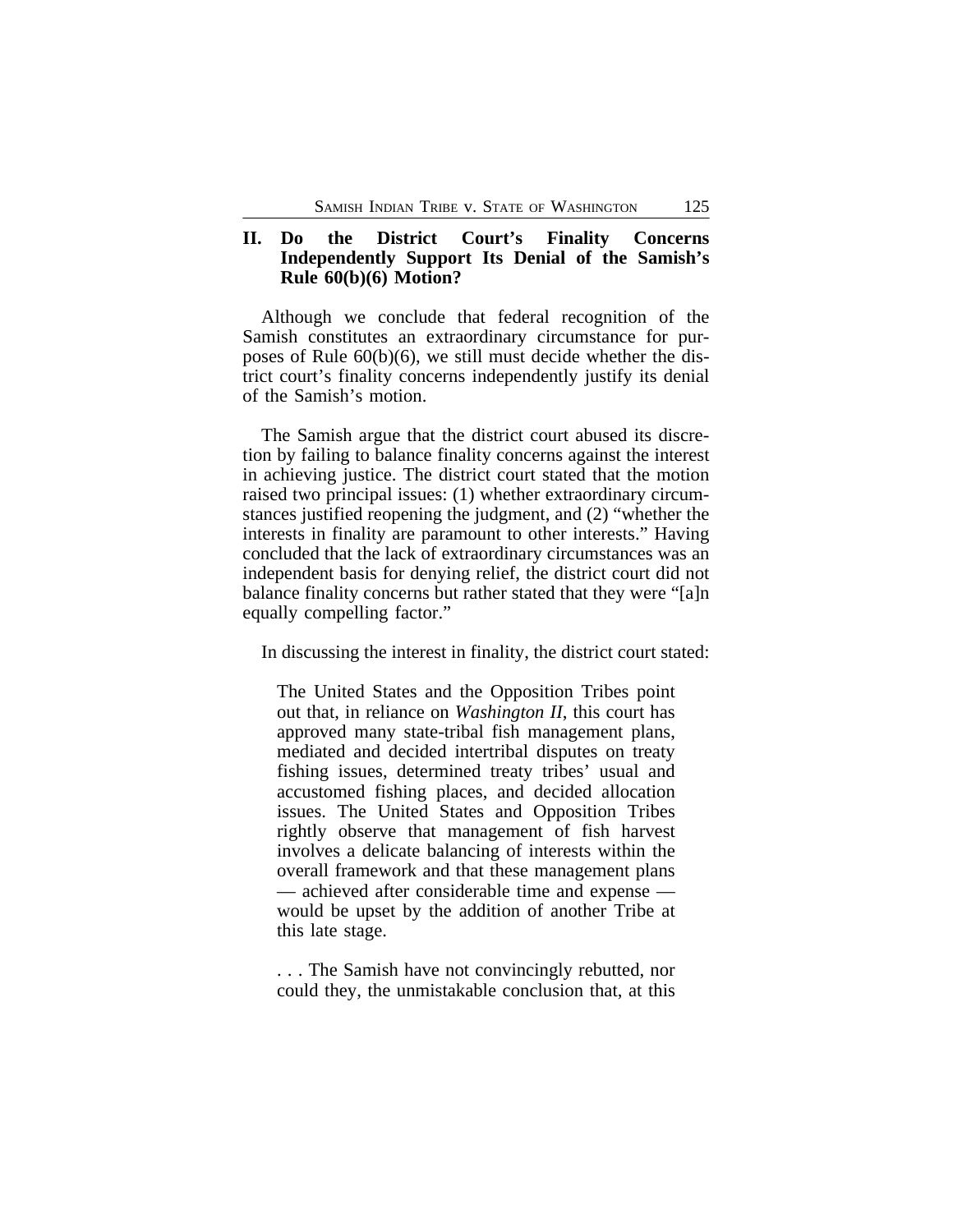## **II. Do the District Court's Finality Concerns Independently Support Its Denial of the Samish's Rule 60(b)(6) Motion?**

Although we conclude that federal recognition of the Samish constitutes an extraordinary circumstance for purposes of Rule 60(b)(6), we still must decide whether the district court's finality concerns independently justify its denial of the Samish's motion.

The Samish argue that the district court abused its discretion by failing to balance finality concerns against the interest in achieving justice. The district court stated that the motion raised two principal issues: (1) whether extraordinary circumstances justified reopening the judgment, and (2) "whether the interests in finality are paramount to other interests." Having concluded that the lack of extraordinary circumstances was an independent basis for denying relief, the district court did not balance finality concerns but rather stated that they were "[a]n equally compelling factor."

In discussing the interest in finality, the district court stated:

The United States and the Opposition Tribes point out that, in reliance on *Washington II*, this court has approved many state-tribal fish management plans, mediated and decided intertribal disputes on treaty fishing issues, determined treaty tribes' usual and accustomed fishing places, and decided allocation issues. The United States and Opposition Tribes rightly observe that management of fish harvest involves a delicate balancing of interests within the overall framework and that these management plans — achieved after considerable time and expense would be upset by the addition of another Tribe at this late stage.

. . . The Samish have not convincingly rebutted, nor could they, the unmistakable conclusion that, at this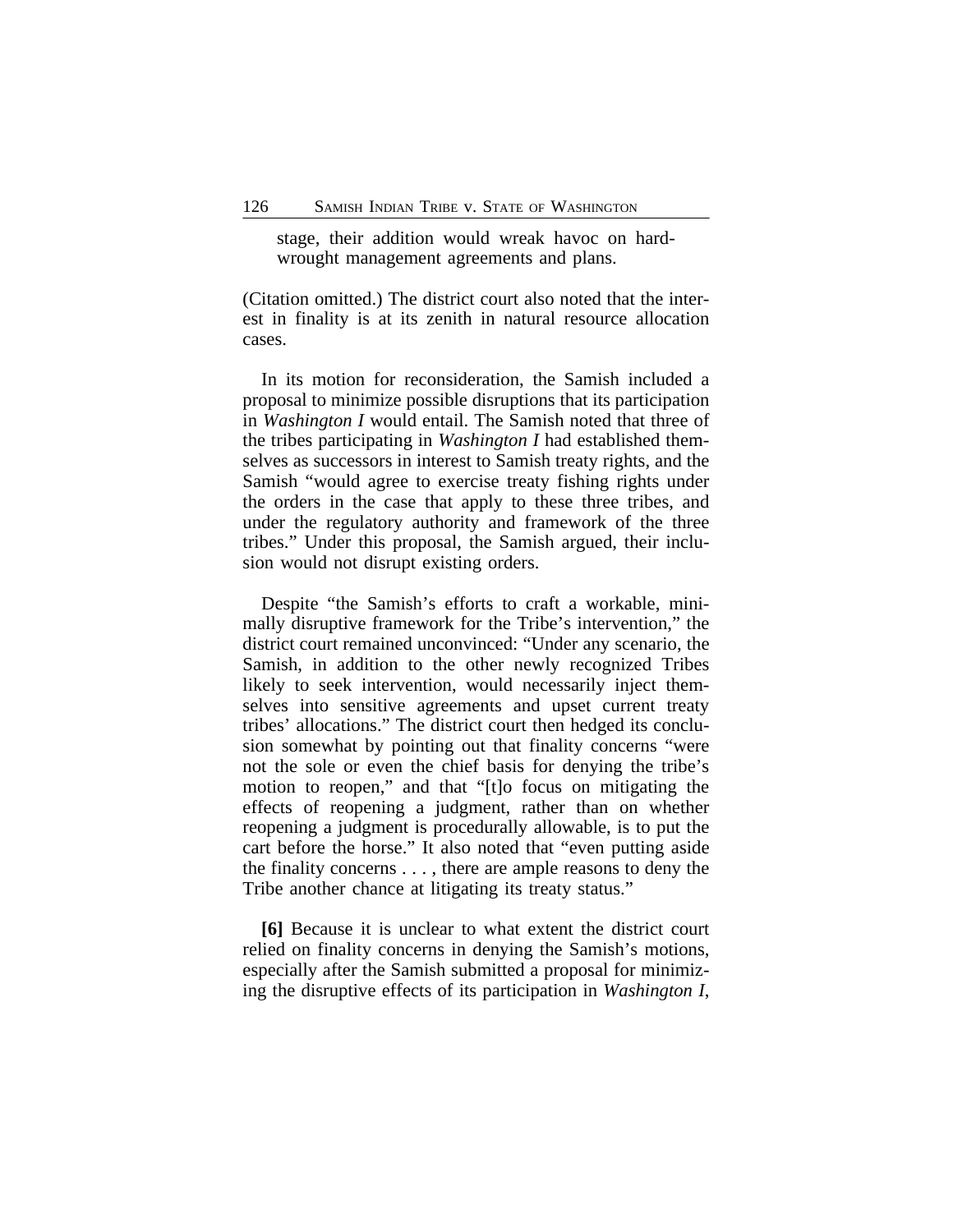stage, their addition would wreak havoc on hardwrought management agreements and plans.

(Citation omitted.) The district court also noted that the interest in finality is at its zenith in natural resource allocation cases.

In its motion for reconsideration, the Samish included a proposal to minimize possible disruptions that its participation in *Washington I* would entail. The Samish noted that three of the tribes participating in *Washington I* had established themselves as successors in interest to Samish treaty rights, and the Samish "would agree to exercise treaty fishing rights under the orders in the case that apply to these three tribes, and under the regulatory authority and framework of the three tribes." Under this proposal, the Samish argued, their inclusion would not disrupt existing orders.

Despite "the Samish's efforts to craft a workable, minimally disruptive framework for the Tribe's intervention," the district court remained unconvinced: "Under any scenario, the Samish, in addition to the other newly recognized Tribes likely to seek intervention, would necessarily inject themselves into sensitive agreements and upset current treaty tribes' allocations." The district court then hedged its conclusion somewhat by pointing out that finality concerns "were not the sole or even the chief basis for denying the tribe's motion to reopen," and that "[t]o focus on mitigating the effects of reopening a judgment, rather than on whether reopening a judgment is procedurally allowable, is to put the cart before the horse." It also noted that "even putting aside the finality concerns . . . , there are ample reasons to deny the Tribe another chance at litigating its treaty status."

**[6]** Because it is unclear to what extent the district court relied on finality concerns in denying the Samish's motions, especially after the Samish submitted a proposal for minimizing the disruptive effects of its participation in *Washington I*,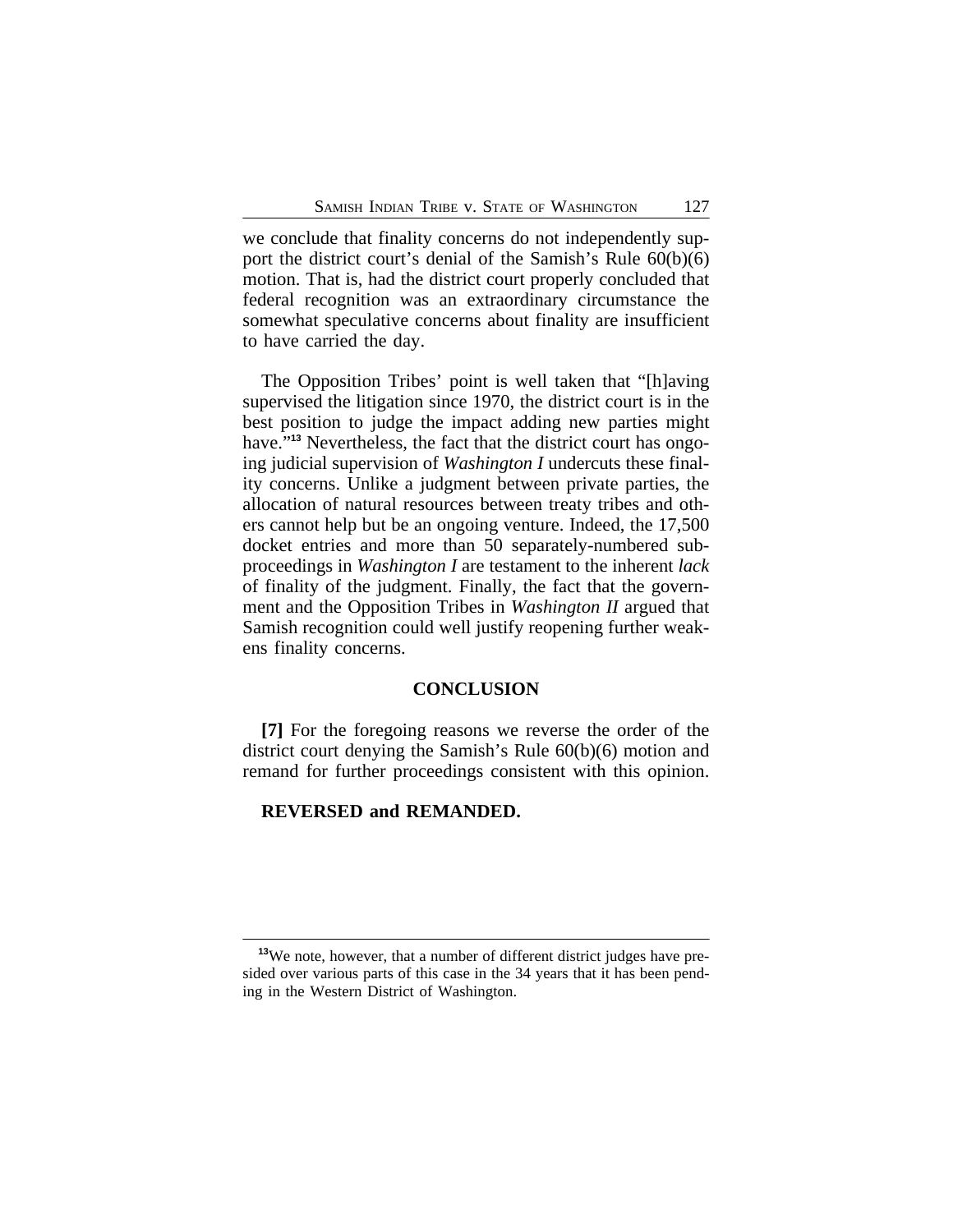we conclude that finality concerns do not independently support the district court's denial of the Samish's Rule 60(b)(6) motion. That is, had the district court properly concluded that federal recognition was an extraordinary circumstance the somewhat speculative concerns about finality are insufficient to have carried the day.

The Opposition Tribes' point is well taken that "[h]aving supervised the litigation since 1970, the district court is in the best position to judge the impact adding new parties might have."**13** Nevertheless, the fact that the district court has ongoing judicial supervision of *Washington I* undercuts these finality concerns. Unlike a judgment between private parties, the allocation of natural resources between treaty tribes and others cannot help but be an ongoing venture. Indeed, the 17,500 docket entries and more than 50 separately-numbered subproceedings in *Washington I* are testament to the inherent *lack* of finality of the judgment. Finally, the fact that the government and the Opposition Tribes in *Washington II* argued that Samish recognition could well justify reopening further weakens finality concerns.

### **CONCLUSION**

**[7]** For the foregoing reasons we reverse the order of the district court denying the Samish's Rule 60(b)(6) motion and remand for further proceedings consistent with this opinion.

#### **REVERSED and REMANDED.**

**<sup>13</sup>**We note, however, that a number of different district judges have presided over various parts of this case in the 34 years that it has been pending in the Western District of Washington.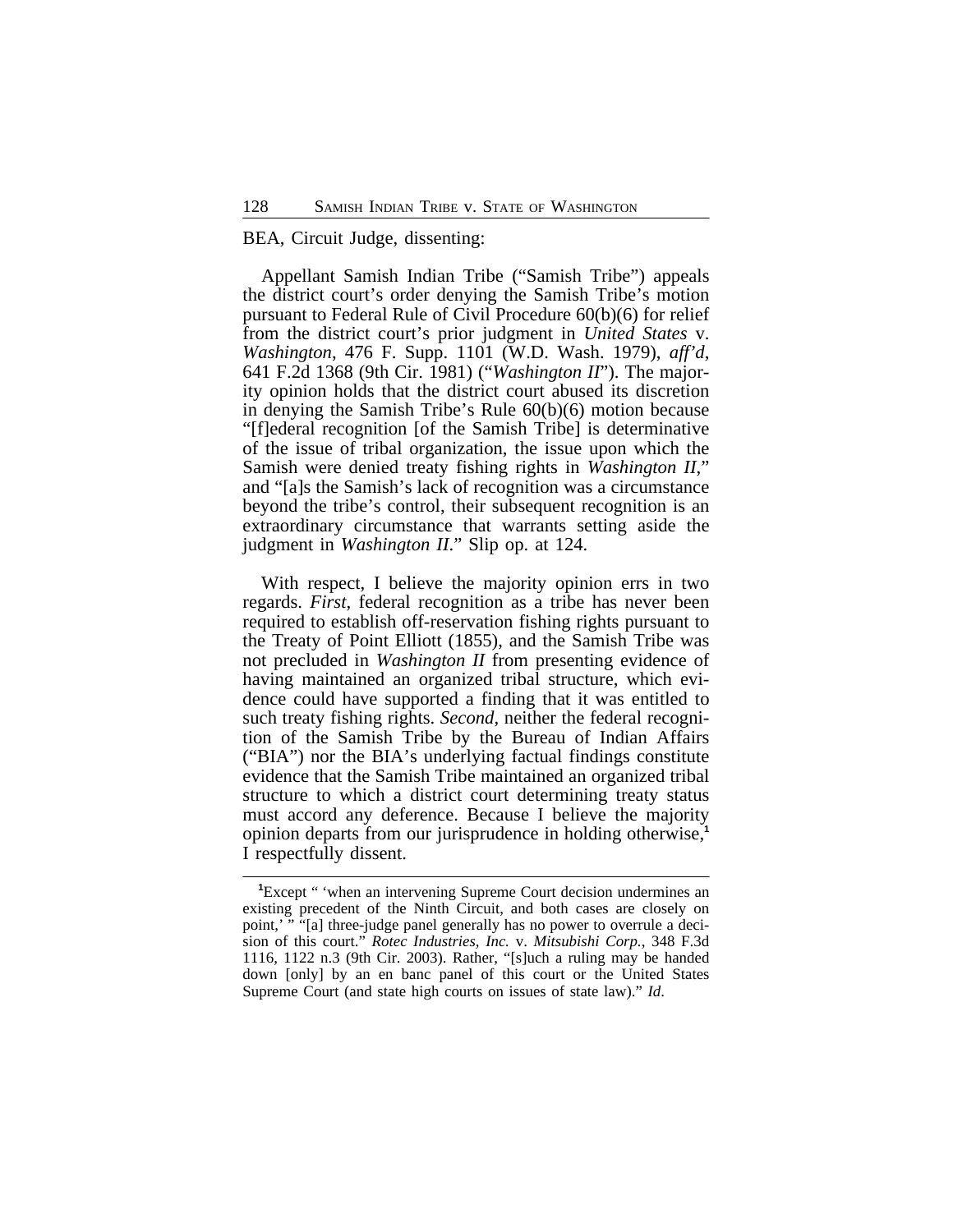#### BEA, Circuit Judge, dissenting:

Appellant Samish Indian Tribe ("Samish Tribe") appeals the district court's order denying the Samish Tribe's motion pursuant to Federal Rule of Civil Procedure 60(b)(6) for relief from the district court's prior judgment in *United States* v. *Washington*, 476 F. Supp. 1101 (W.D. Wash. 1979), *aff'd*, 641 F.2d 1368 (9th Cir. 1981) ("*Washington II*"). The majority opinion holds that the district court abused its discretion in denying the Samish Tribe's Rule 60(b)(6) motion because "[f]ederal recognition [of the Samish Tribe] is determinative of the issue of tribal organization, the issue upon which the Samish were denied treaty fishing rights in *Washington II*," and "[a]s the Samish's lack of recognition was a circumstance beyond the tribe's control, their subsequent recognition is an extraordinary circumstance that warrants setting aside the judgment in *Washington II*." Slip op. at 124.

With respect, I believe the majority opinion errs in two regards. *First*, federal recognition as a tribe has never been required to establish off-reservation fishing rights pursuant to the Treaty of Point Elliott (1855), and the Samish Tribe was not precluded in *Washington II* from presenting evidence of having maintained an organized tribal structure, which evidence could have supported a finding that it was entitled to such treaty fishing rights. *Second*, neither the federal recognition of the Samish Tribe by the Bureau of Indian Affairs ("BIA") nor the BIA's underlying factual findings constitute evidence that the Samish Tribe maintained an organized tribal structure to which a district court determining treaty status must accord any deference. Because I believe the majority opinion departs from our jurisprudence in holding otherwise,**<sup>1</sup>** I respectfully dissent.

<sup>&</sup>lt;sup>1</sup>Except " 'when an intervening Supreme Court decision undermines an existing precedent of the Ninth Circuit, and both cases are closely on point,'" "[a] three-judge panel generally has no power to overrule a decision of this court." *Rotec Industries, Inc.* v. *Mitsubishi Corp.*, 348 F.3d 1116, 1122 n.3 (9th Cir. 2003). Rather, "[s]uch a ruling may be handed down [only] by an en banc panel of this court or the United States Supreme Court (and state high courts on issues of state law)." *Id*.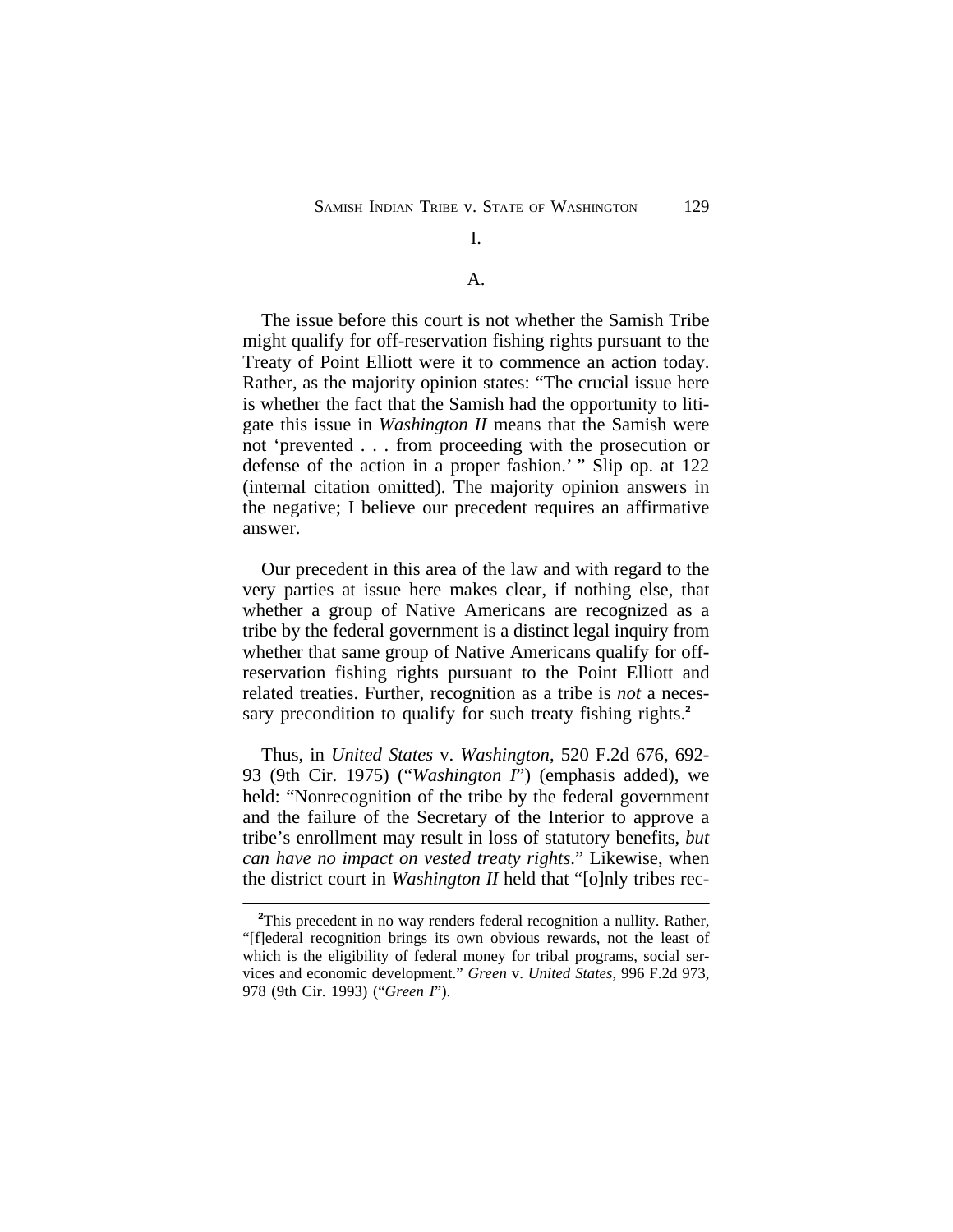## A.

I.

# The issue before this court is not whether the Samish Tribe might qualify for off-reservation fishing rights pursuant to the Treaty of Point Elliott were it to commence an action today. Rather, as the majority opinion states: "The crucial issue here is whether the fact that the Samish had the opportunity to litigate this issue in *Washington II* means that the Samish were not 'prevented . . . from proceeding with the prosecution or

defense of the action in a proper fashion.' " Slip op. at 122 (internal citation omitted). The majority opinion answers in the negative; I believe our precedent requires an affirmative answer.

Our precedent in this area of the law and with regard to the very parties at issue here makes clear, if nothing else, that whether a group of Native Americans are recognized as a tribe by the federal government is a distinct legal inquiry from whether that same group of Native Americans qualify for offreservation fishing rights pursuant to the Point Elliott and related treaties. Further, recognition as a tribe is *not* a necessary precondition to qualify for such treaty fishing rights.**<sup>2</sup>**

Thus, in *United States* v. *Washington*, 520 F.2d 676, 692- 93 (9th Cir. 1975) ("*Washington I*") (emphasis added), we held: "Nonrecognition of the tribe by the federal government and the failure of the Secretary of the Interior to approve a tribe's enrollment may result in loss of statutory benefits, *but can have no impact on vested treaty rights*." Likewise, when the district court in *Washington II* held that "[o]nly tribes rec-

**<sup>2</sup>**This precedent in no way renders federal recognition a nullity. Rather, "[f]ederal recognition brings its own obvious rewards, not the least of which is the eligibility of federal money for tribal programs, social services and economic development." *Green* v. *United States*, 996 F.2d 973, 978 (9th Cir. 1993) ("*Green I*").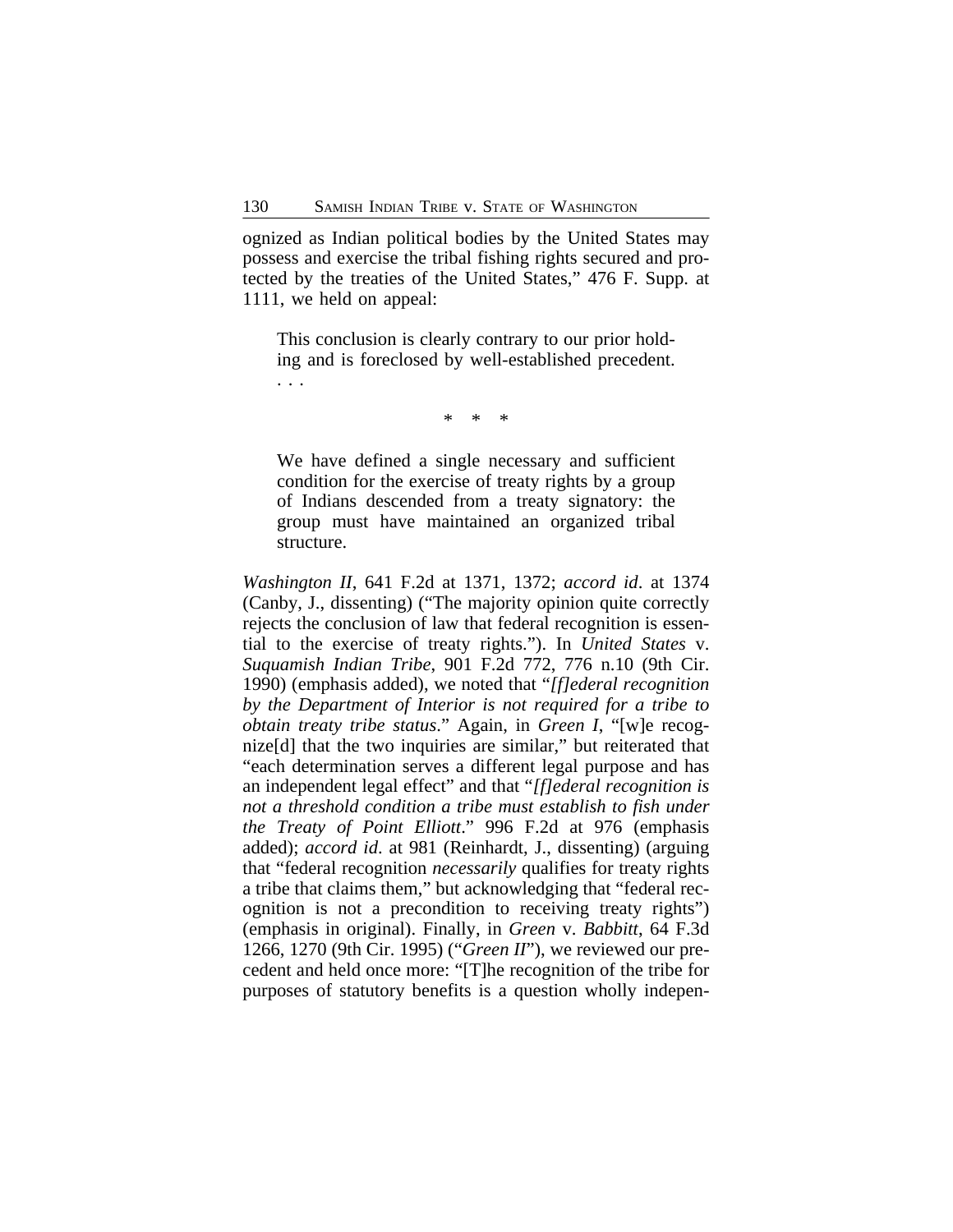ognized as Indian political bodies by the United States may possess and exercise the tribal fishing rights secured and protected by the treaties of the United States," 476 F. Supp. at 1111, we held on appeal:

This conclusion is clearly contrary to our prior holding and is foreclosed by well-established precedent. . . .

\* \* \*

We have defined a single necessary and sufficient condition for the exercise of treaty rights by a group of Indians descended from a treaty signatory: the group must have maintained an organized tribal structure.

*Washington II*, 641 F.2d at 1371, 1372; *accord id*. at 1374 (Canby, J., dissenting) ("The majority opinion quite correctly rejects the conclusion of law that federal recognition is essential to the exercise of treaty rights."). In *United States* v. *Suquamish Indian Tribe*, 901 F.2d 772, 776 n.10 (9th Cir. 1990) (emphasis added), we noted that "*[f]ederal recognition by the Department of Interior is not required for a tribe to obtain treaty tribe status*." Again, in *Green I*, "[w]e recognize[d] that the two inquiries are similar," but reiterated that "each determination serves a different legal purpose and has an independent legal effect" and that "*[f]ederal recognition is not a threshold condition a tribe must establish to fish under the Treaty of Point Elliott*." 996 F.2d at 976 (emphasis added); *accord id*. at 981 (Reinhardt, J., dissenting) (arguing that "federal recognition *necessarily* qualifies for treaty rights a tribe that claims them," but acknowledging that "federal recognition is not a precondition to receiving treaty rights") (emphasis in original). Finally, in *Green* v. *Babbitt*, 64 F.3d 1266, 1270 (9th Cir. 1995) ("*Green II*"), we reviewed our precedent and held once more: "[T]he recognition of the tribe for purposes of statutory benefits is a question wholly indepen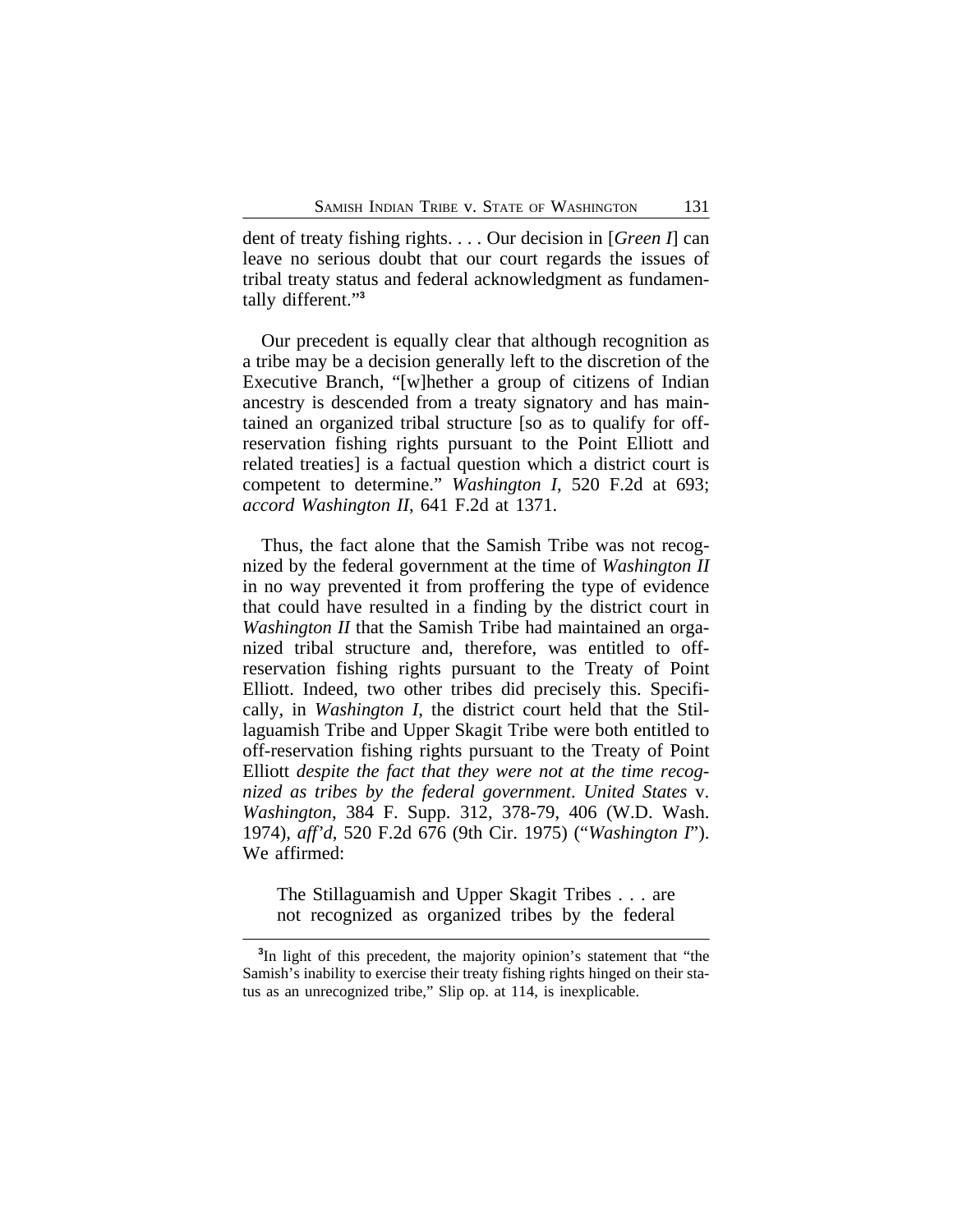dent of treaty fishing rights. . . . Our decision in [*Green I*] can leave no serious doubt that our court regards the issues of tribal treaty status and federal acknowledgment as fundamentally different." **3**

Our precedent is equally clear that although recognition as a tribe may be a decision generally left to the discretion of the Executive Branch, "[w]hether a group of citizens of Indian ancestry is descended from a treaty signatory and has maintained an organized tribal structure [so as to qualify for offreservation fishing rights pursuant to the Point Elliott and related treaties] is a factual question which a district court is competent to determine." *Washington I*, 520 F.2d at 693; *accord Washington II*, 641 F.2d at 1371.

Thus, the fact alone that the Samish Tribe was not recognized by the federal government at the time of *Washington II* in no way prevented it from proffering the type of evidence that could have resulted in a finding by the district court in *Washington II* that the Samish Tribe had maintained an organized tribal structure and, therefore, was entitled to offreservation fishing rights pursuant to the Treaty of Point Elliott. Indeed, two other tribes did precisely this. Specifically, in *Washington I*, the district court held that the Stillaguamish Tribe and Upper Skagit Tribe were both entitled to off-reservation fishing rights pursuant to the Treaty of Point Elliott *despite the fact that they were not at the time recognized as tribes by the federal government*. *United States* v. *Washington*, 384 F. Supp. 312, 378-79, 406 (W.D. Wash. 1974), *aff'd*, 520 F.2d 676 (9th Cir. 1975) ("*Washington I*"). We affirmed:

The Stillaguamish and Upper Skagit Tribes . . . are not recognized as organized tribes by the federal

**<sup>3</sup>** In light of this precedent, the majority opinion's statement that "the Samish's inability to exercise their treaty fishing rights hinged on their status as an unrecognized tribe," Slip op. at 114, is inexplicable.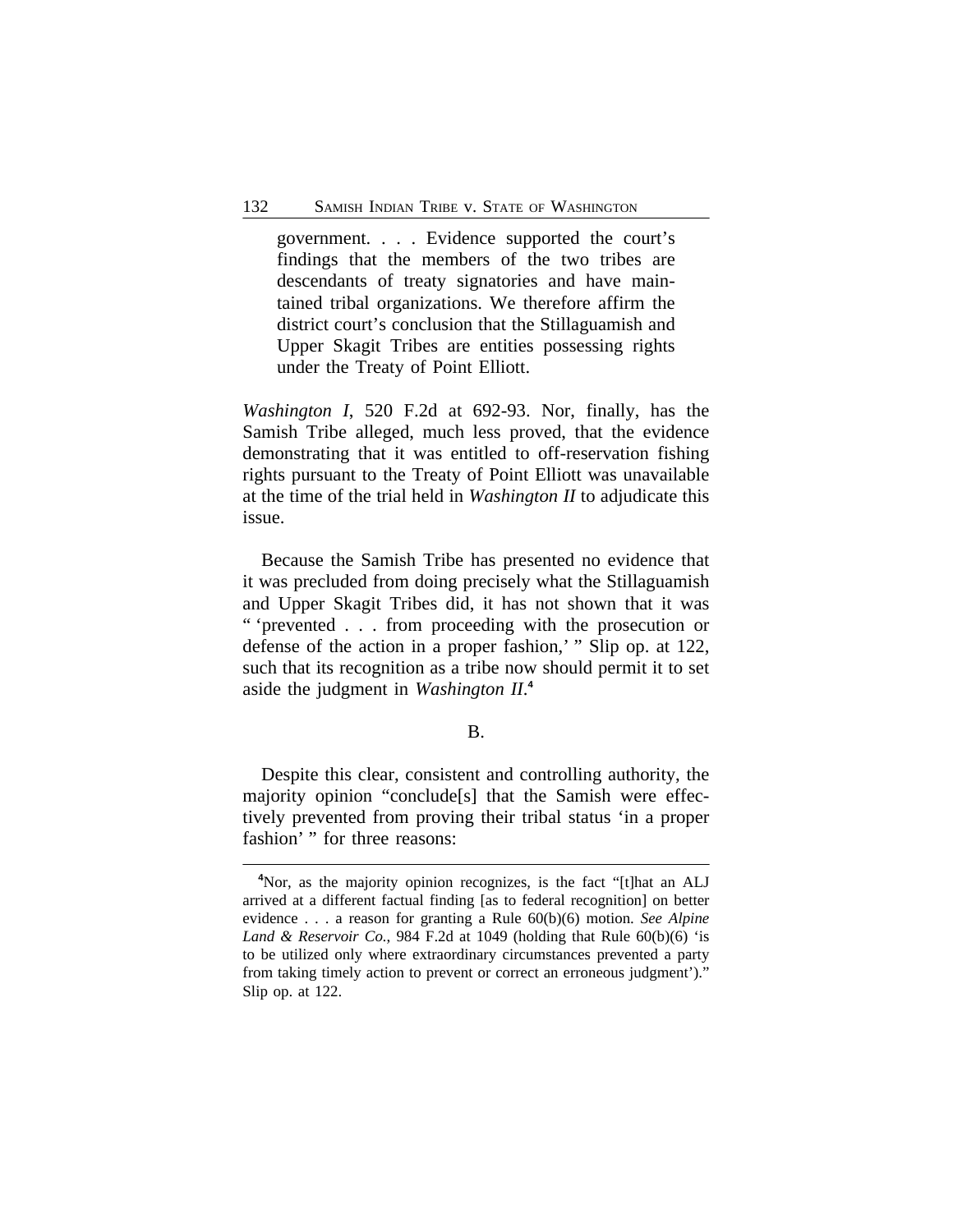government. . . . Evidence supported the court's findings that the members of the two tribes are descendants of treaty signatories and have maintained tribal organizations. We therefore affirm the district court's conclusion that the Stillaguamish and Upper Skagit Tribes are entities possessing rights under the Treaty of Point Elliott.

*Washington I*, 520 F.2d at 692-93. Nor, finally, has the Samish Tribe alleged, much less proved, that the evidence demonstrating that it was entitled to off-reservation fishing rights pursuant to the Treaty of Point Elliott was unavailable at the time of the trial held in *Washington II* to adjudicate this issue.

Because the Samish Tribe has presented no evidence that it was precluded from doing precisely what the Stillaguamish and Upper Skagit Tribes did, it has not shown that it was " 'prevented . . . from proceeding with the prosecution or defense of the action in a proper fashion,' " Slip op. at 122, such that its recognition as a tribe now should permit it to set aside the judgment in *Washington II*. **4**

#### B.

Despite this clear, consistent and controlling authority, the majority opinion "conclude[s] that the Samish were effectively prevented from proving their tribal status 'in a proper fashion' " for three reasons:

**<sup>4</sup>**Nor, as the majority opinion recognizes, is the fact "[t]hat an ALJ arrived at a different factual finding [as to federal recognition] on better evidence . . . a reason for granting a Rule 60(b)(6) motion. *See Alpine Land & Reservoir Co.*, 984 F.2d at 1049 (holding that Rule  $60(b)(6)$  'is to be utilized only where extraordinary circumstances prevented a party from taking timely action to prevent or correct an erroneous judgment')." Slip op. at 122.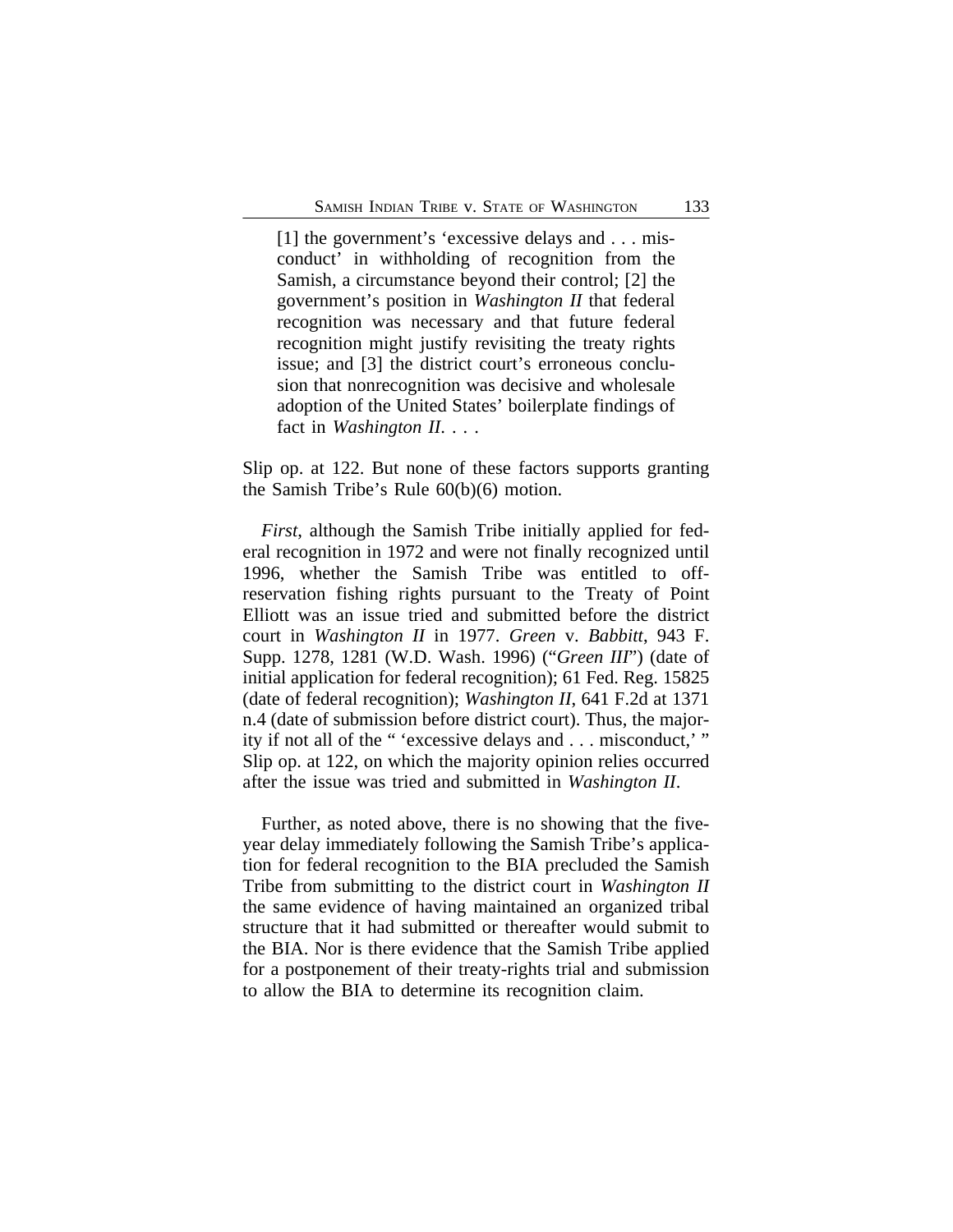[1] the government's 'excessive delays and . . . misconduct' in withholding of recognition from the Samish, a circumstance beyond their control; [2] the government's position in *Washington II* that federal recognition was necessary and that future federal recognition might justify revisiting the treaty rights issue; and [3] the district court's erroneous conclusion that nonrecognition was decisive and wholesale adoption of the United States' boilerplate findings of fact in *Washington II*. . . .

Slip op. at 122. But none of these factors supports granting the Samish Tribe's Rule 60(b)(6) motion.

*First*, although the Samish Tribe initially applied for federal recognition in 1972 and were not finally recognized until 1996, whether the Samish Tribe was entitled to offreservation fishing rights pursuant to the Treaty of Point Elliott was an issue tried and submitted before the district court in *Washington II* in 1977. *Green* v. *Babbitt*, 943 F. Supp. 1278, 1281 (W.D. Wash. 1996) ("*Green III*") (date of initial application for federal recognition); 61 Fed. Reg. 15825 (date of federal recognition); *Washington II*, 641 F.2d at 1371 n.4 (date of submission before district court). Thus, the majority if not all of the " 'excessive delays and . . . misconduct,' " Slip op. at 122, on which the majority opinion relies occurred after the issue was tried and submitted in *Washington II*.

Further, as noted above, there is no showing that the fiveyear delay immediately following the Samish Tribe's application for federal recognition to the BIA precluded the Samish Tribe from submitting to the district court in *Washington II* the same evidence of having maintained an organized tribal structure that it had submitted or thereafter would submit to the BIA. Nor is there evidence that the Samish Tribe applied for a postponement of their treaty-rights trial and submission to allow the BIA to determine its recognition claim.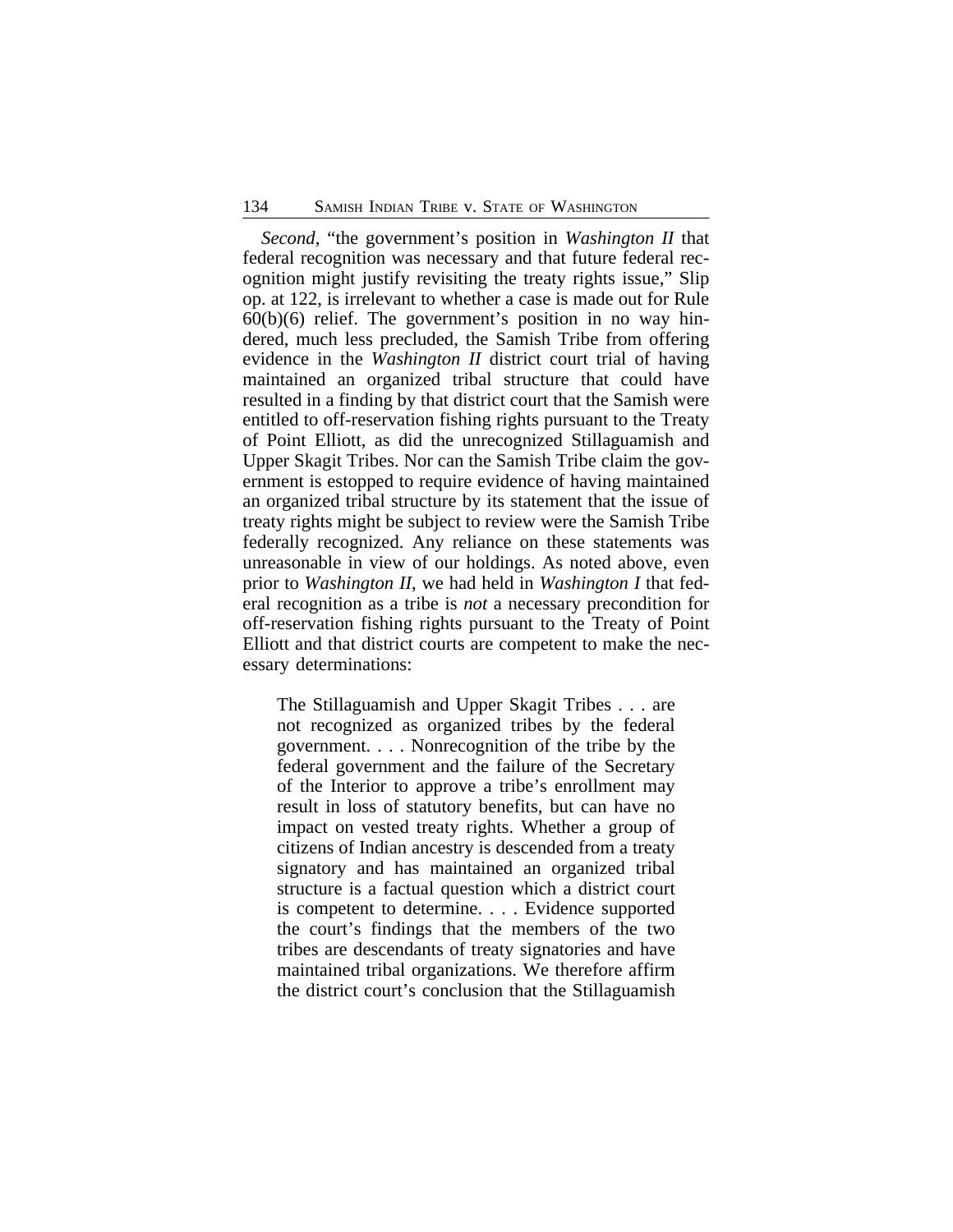*Second*, "the government's position in *Washington II* that federal recognition was necessary and that future federal recognition might justify revisiting the treaty rights issue," Slip op. at 122, is irrelevant to whether a case is made out for Rule  $60(b)(6)$  relief. The government's position in no way hindered, much less precluded, the Samish Tribe from offering evidence in the *Washington II* district court trial of having maintained an organized tribal structure that could have resulted in a finding by that district court that the Samish were entitled to off-reservation fishing rights pursuant to the Treaty of Point Elliott, as did the unrecognized Stillaguamish and Upper Skagit Tribes. Nor can the Samish Tribe claim the government is estopped to require evidence of having maintained an organized tribal structure by its statement that the issue of treaty rights might be subject to review were the Samish Tribe federally recognized. Any reliance on these statements was unreasonable in view of our holdings. As noted above, even prior to *Washington II*, we had held in *Washington I* that federal recognition as a tribe is *not* a necessary precondition for off-reservation fishing rights pursuant to the Treaty of Point Elliott and that district courts are competent to make the necessary determinations:

The Stillaguamish and Upper Skagit Tribes . . . are not recognized as organized tribes by the federal government. . . . Nonrecognition of the tribe by the federal government and the failure of the Secretary of the Interior to approve a tribe's enrollment may result in loss of statutory benefits, but can have no impact on vested treaty rights. Whether a group of citizens of Indian ancestry is descended from a treaty signatory and has maintained an organized tribal structure is a factual question which a district court is competent to determine. . . . Evidence supported the court's findings that the members of the two tribes are descendants of treaty signatories and have maintained tribal organizations. We therefore affirm the district court's conclusion that the Stillaguamish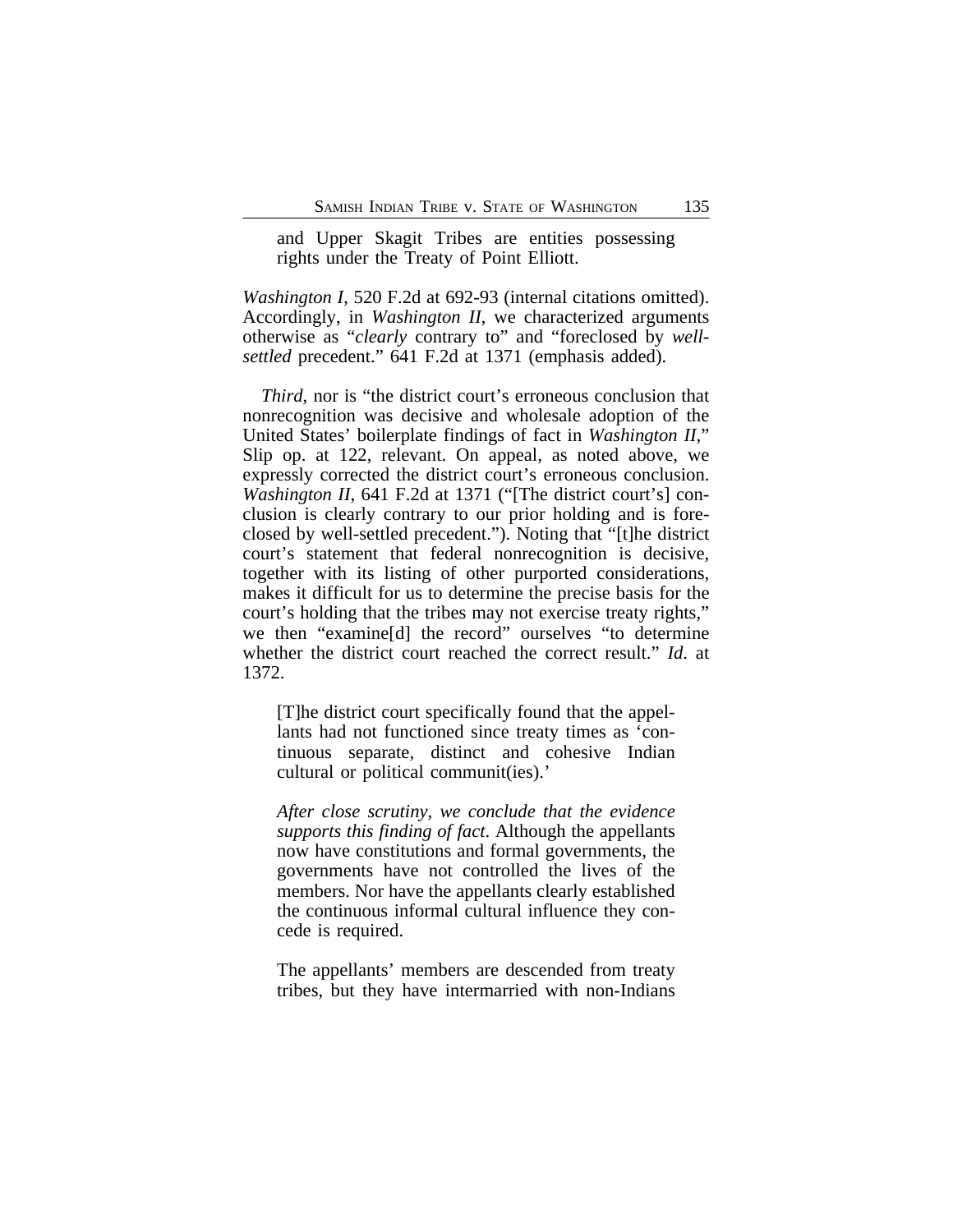and Upper Skagit Tribes are entities possessing rights under the Treaty of Point Elliott.

*Washington I*, 520 F.2d at 692-93 (internal citations omitted). Accordingly, in *Washington II*, we characterized arguments otherwise as "*clearly* contrary to" and "foreclosed by *wellsettled* precedent." 641 F.2d at 1371 (emphasis added).

*Third*, nor is "the district court's erroneous conclusion that nonrecognition was decisive and wholesale adoption of the United States' boilerplate findings of fact in *Washington II*," Slip op. at 122, relevant. On appeal, as noted above, we expressly corrected the district court's erroneous conclusion. *Washington II*, 641 F.2d at 1371 ("The district court's] conclusion is clearly contrary to our prior holding and is foreclosed by well-settled precedent."). Noting that "[t]he district court's statement that federal nonrecognition is decisive, together with its listing of other purported considerations, makes it difficult for us to determine the precise basis for the court's holding that the tribes may not exercise treaty rights," we then "examine[d] the record" ourselves "to determine whether the district court reached the correct result." *Id*. at 1372.

[T]he district court specifically found that the appellants had not functioned since treaty times as 'continuous separate, distinct and cohesive Indian cultural or political communit(ies).'

*After close scrutiny, we conclude that the evidence supports this finding of fact*. Although the appellants now have constitutions and formal governments, the governments have not controlled the lives of the members. Nor have the appellants clearly established the continuous informal cultural influence they concede is required.

The appellants' members are descended from treaty tribes, but they have intermarried with non-Indians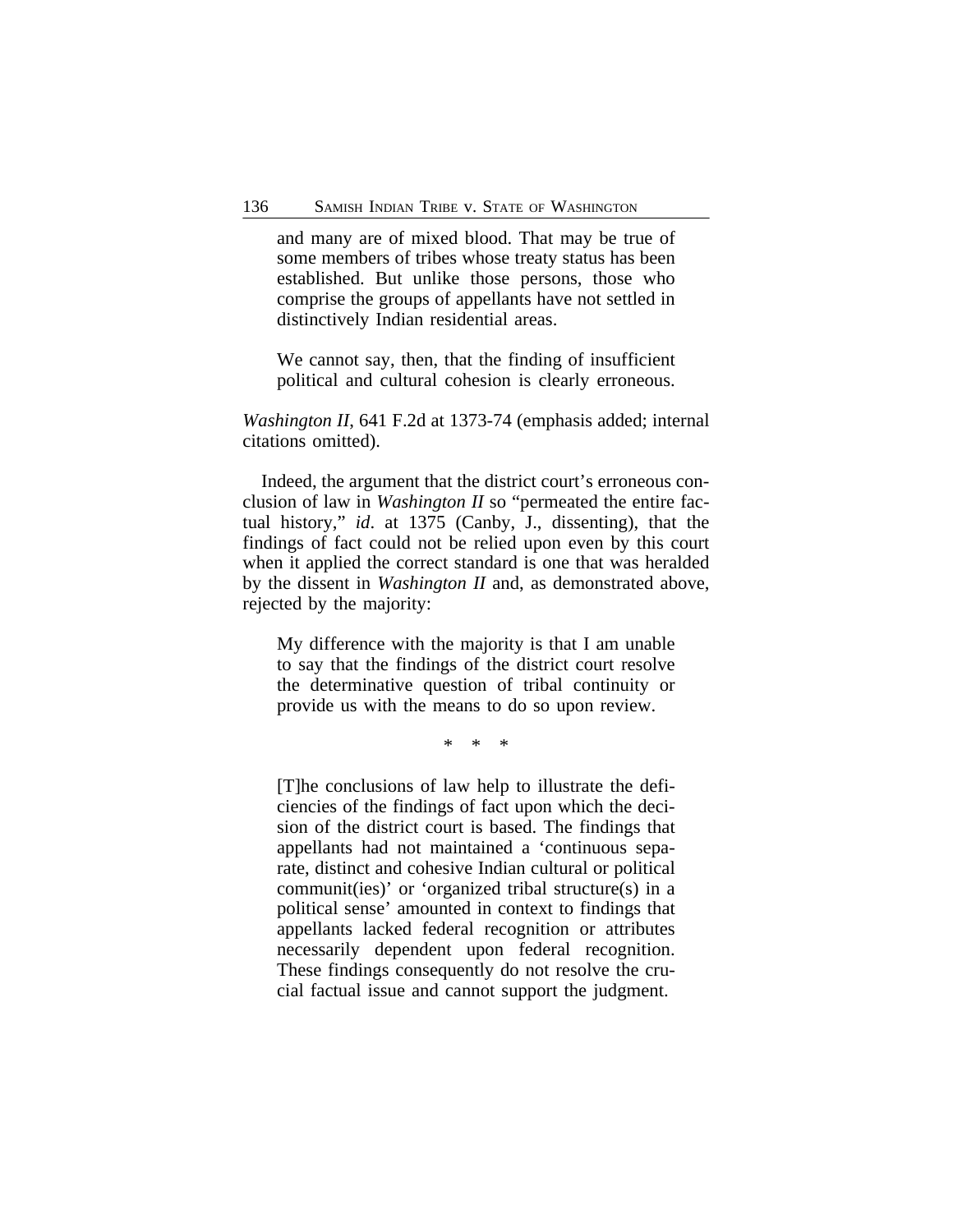and many are of mixed blood. That may be true of some members of tribes whose treaty status has been established. But unlike those persons, those who comprise the groups of appellants have not settled in distinctively Indian residential areas.

We cannot say, then, that the finding of insufficient political and cultural cohesion is clearly erroneous.

*Washington II*, 641 F.2d at 1373-74 (emphasis added; internal citations omitted).

Indeed, the argument that the district court's erroneous conclusion of law in *Washington II* so "permeated the entire factual history," *id*. at 1375 (Canby, J., dissenting), that the findings of fact could not be relied upon even by this court when it applied the correct standard is one that was heralded by the dissent in *Washington II* and, as demonstrated above, rejected by the majority:

My difference with the majority is that I am unable to say that the findings of the district court resolve the determinative question of tribal continuity or provide us with the means to do so upon review.

\* \* \*

[T]he conclusions of law help to illustrate the deficiencies of the findings of fact upon which the decision of the district court is based. The findings that appellants had not maintained a 'continuous separate, distinct and cohesive Indian cultural or political communit(ies)' or 'organized tribal structure(s) in a political sense' amounted in context to findings that appellants lacked federal recognition or attributes necessarily dependent upon federal recognition. These findings consequently do not resolve the crucial factual issue and cannot support the judgment.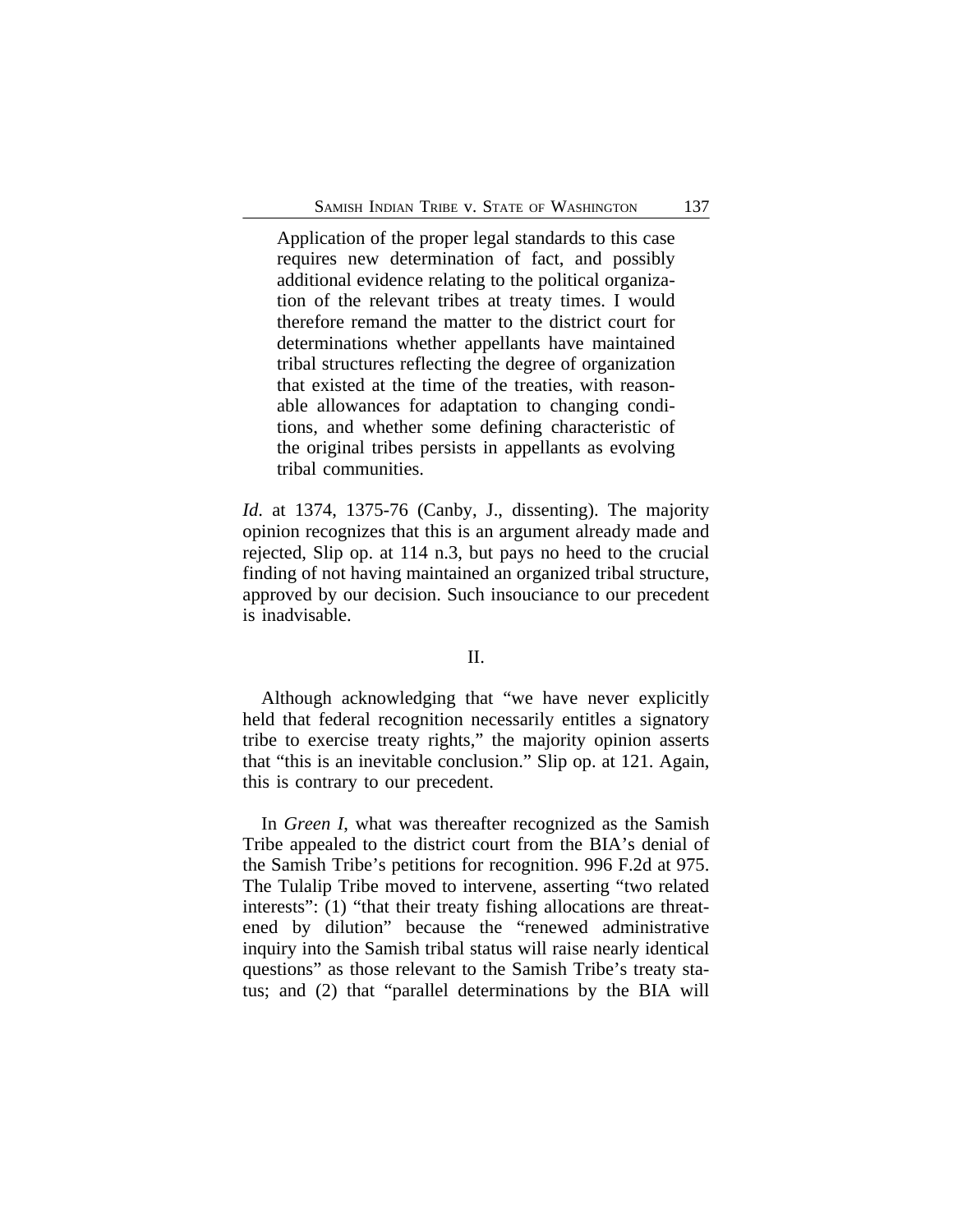Application of the proper legal standards to this case requires new determination of fact, and possibly additional evidence relating to the political organization of the relevant tribes at treaty times. I would therefore remand the matter to the district court for determinations whether appellants have maintained tribal structures reflecting the degree of organization that existed at the time of the treaties, with reasonable allowances for adaptation to changing conditions, and whether some defining characteristic of the original tribes persists in appellants as evolving tribal communities.

*Id*. at 1374, 1375-76 (Canby, J., dissenting). The majority opinion recognizes that this is an argument already made and rejected, Slip op. at 114 n.3, but pays no heed to the crucial finding of not having maintained an organized tribal structure, approved by our decision. Such insouciance to our precedent is inadvisable.

#### II.

Although acknowledging that "we have never explicitly held that federal recognition necessarily entitles a signatory tribe to exercise treaty rights," the majority opinion asserts that "this is an inevitable conclusion." Slip op. at 121. Again, this is contrary to our precedent.

In *Green I*, what was thereafter recognized as the Samish Tribe appealed to the district court from the BIA's denial of the Samish Tribe's petitions for recognition. 996 F.2d at 975. The Tulalip Tribe moved to intervene, asserting "two related interests": (1) "that their treaty fishing allocations are threatened by dilution" because the "renewed administrative inquiry into the Samish tribal status will raise nearly identical questions" as those relevant to the Samish Tribe's treaty status; and (2) that "parallel determinations by the BIA will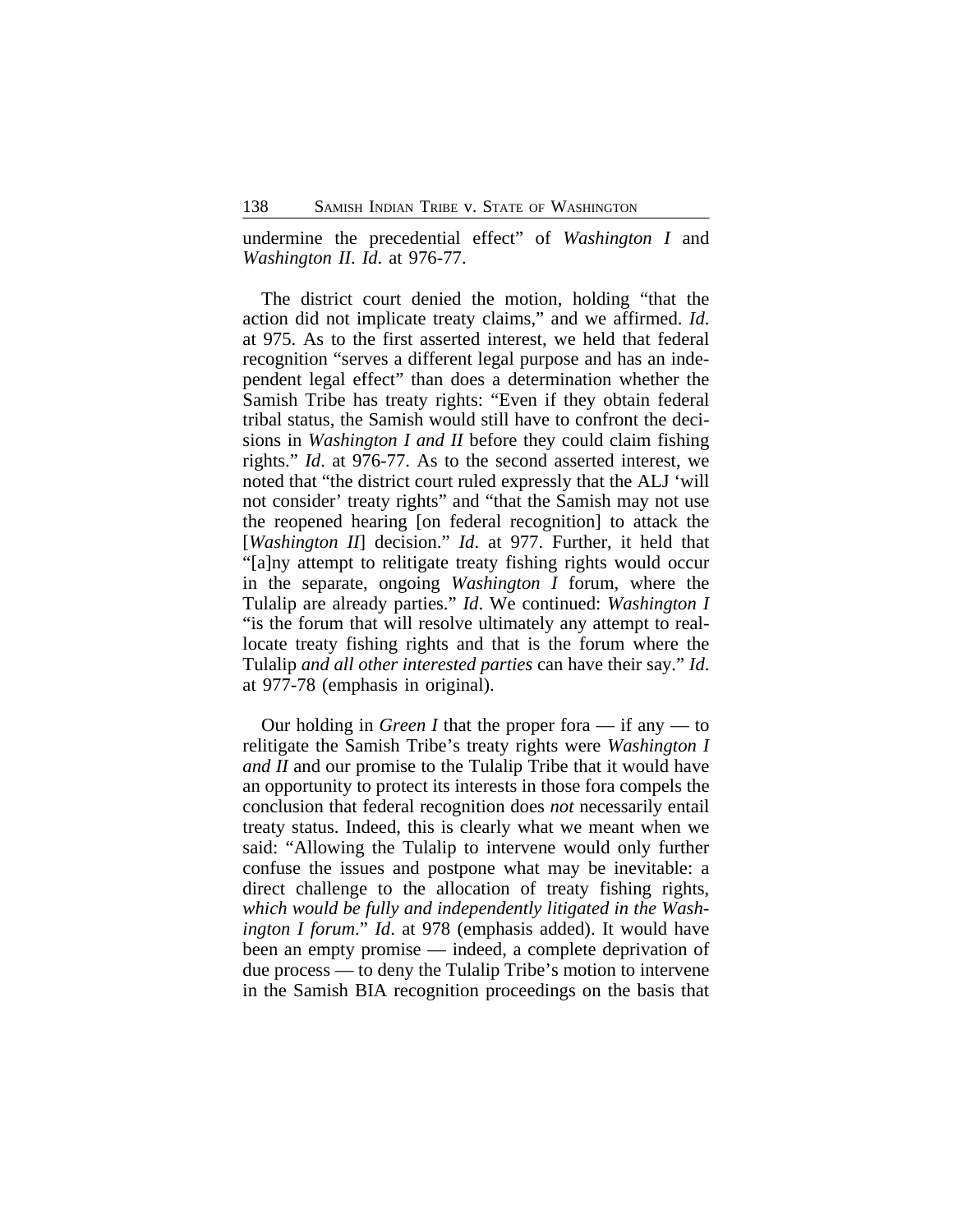undermine the precedential effect" of *Washington I* and *Washington II*. *Id*. at 976-77.

The district court denied the motion, holding "that the action did not implicate treaty claims," and we affirmed. *Id*. at 975. As to the first asserted interest, we held that federal recognition "serves a different legal purpose and has an independent legal effect" than does a determination whether the Samish Tribe has treaty rights: "Even if they obtain federal tribal status, the Samish would still have to confront the decisions in *Washington I and II* before they could claim fishing rights." *Id*. at 976-77. As to the second asserted interest, we noted that "the district court ruled expressly that the ALJ 'will not consider' treaty rights" and "that the Samish may not use the reopened hearing [on federal recognition] to attack the [*Washington II*] decision." *Id*. at 977. Further, it held that "[a]ny attempt to relitigate treaty fishing rights would occur in the separate, ongoing *Washington I* forum, where the Tulalip are already parties." *Id*. We continued: *Washington I* "is the forum that will resolve ultimately any attempt to reallocate treaty fishing rights and that is the forum where the Tulalip *and all other interested parties* can have their say." *Id*. at 977-78 (emphasis in original).

Our holding in *Green I* that the proper fora — if any — to relitigate the Samish Tribe's treaty rights were *Washington I and II* and our promise to the Tulalip Tribe that it would have an opportunity to protect its interests in those fora compels the conclusion that federal recognition does *not* necessarily entail treaty status. Indeed, this is clearly what we meant when we said: "Allowing the Tulalip to intervene would only further confuse the issues and postpone what may be inevitable: a direct challenge to the allocation of treaty fishing rights, *which would be fully and independently litigated in the Washington I forum*." *Id*. at 978 (emphasis added). It would have been an empty promise — indeed, a complete deprivation of due process — to deny the Tulalip Tribe's motion to intervene in the Samish BIA recognition proceedings on the basis that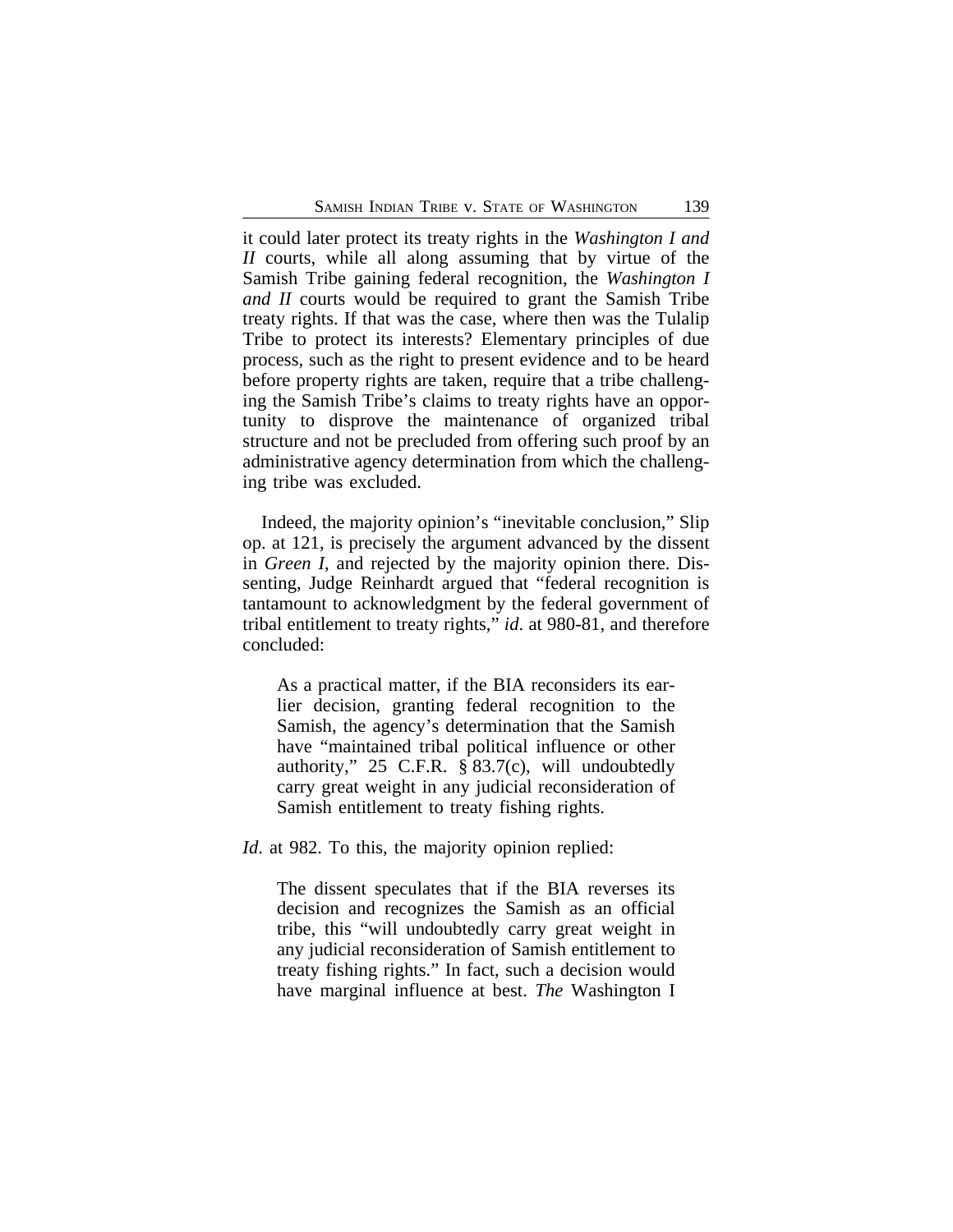it could later protect its treaty rights in the *Washington I and II* courts, while all along assuming that by virtue of the Samish Tribe gaining federal recognition, the *Washington I and II* courts would be required to grant the Samish Tribe treaty rights. If that was the case, where then was the Tulalip Tribe to protect its interests? Elementary principles of due process, such as the right to present evidence and to be heard before property rights are taken, require that a tribe challenging the Samish Tribe's claims to treaty rights have an opportunity to disprove the maintenance of organized tribal structure and not be precluded from offering such proof by an administrative agency determination from which the challenging tribe was excluded.

Indeed, the majority opinion's "inevitable conclusion," Slip op. at 121, is precisely the argument advanced by the dissent in *Green I*, and rejected by the majority opinion there. Dissenting, Judge Reinhardt argued that "federal recognition is tantamount to acknowledgment by the federal government of tribal entitlement to treaty rights," *id*. at 980-81, and therefore concluded:

As a practical matter, if the BIA reconsiders its earlier decision, granting federal recognition to the Samish, the agency's determination that the Samish have "maintained tribal political influence or other authority," 25 C.F.R. § 83.7(c), will undoubtedly carry great weight in any judicial reconsideration of Samish entitlement to treaty fishing rights.

*Id.* at 982. To this, the majority opinion replied:

The dissent speculates that if the BIA reverses its decision and recognizes the Samish as an official tribe, this "will undoubtedly carry great weight in any judicial reconsideration of Samish entitlement to treaty fishing rights." In fact, such a decision would have marginal influence at best. *The* Washington I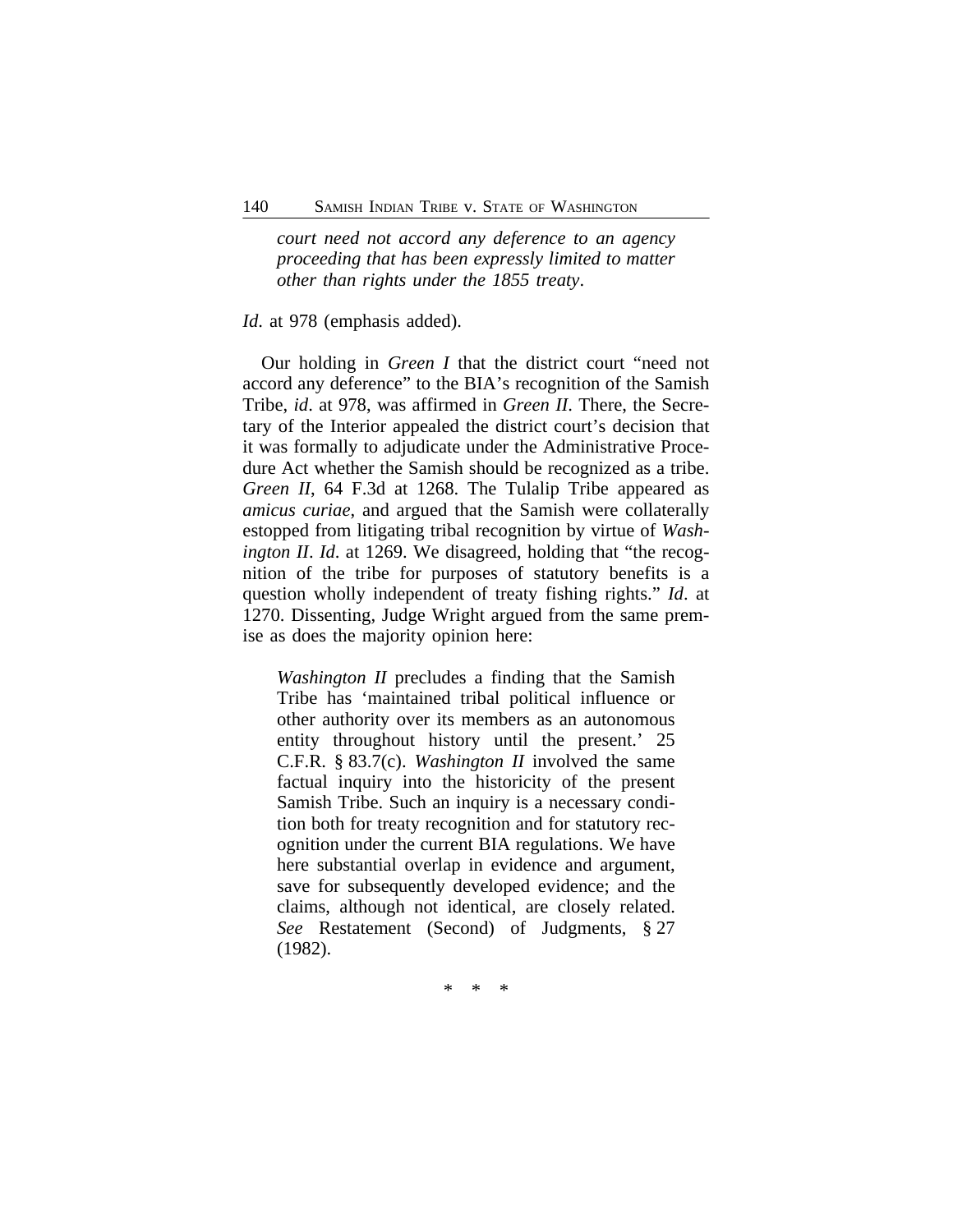*court need not accord any deference to an agency proceeding that has been expressly limited to matter other than rights under the 1855 treaty*.

#### *Id*. at 978 (emphasis added).

Our holding in *Green I* that the district court "need not accord any deference" to the BIA's recognition of the Samish Tribe, *id*. at 978, was affirmed in *Green II*. There, the Secretary of the Interior appealed the district court's decision that it was formally to adjudicate under the Administrative Procedure Act whether the Samish should be recognized as a tribe. *Green II*, 64 F.3d at 1268. The Tulalip Tribe appeared as *amicus curiae*, and argued that the Samish were collaterally estopped from litigating tribal recognition by virtue of *Washington II*. *Id*. at 1269. We disagreed, holding that "the recognition of the tribe for purposes of statutory benefits is a question wholly independent of treaty fishing rights." *Id*. at 1270. Dissenting, Judge Wright argued from the same premise as does the majority opinion here:

*Washington II* precludes a finding that the Samish Tribe has 'maintained tribal political influence or other authority over its members as an autonomous entity throughout history until the present.' 25 C.F.R. § 83.7(c). *Washington II* involved the same factual inquiry into the historicity of the present Samish Tribe. Such an inquiry is a necessary condition both for treaty recognition and for statutory recognition under the current BIA regulations. We have here substantial overlap in evidence and argument, save for subsequently developed evidence; and the claims, although not identical, are closely related. *See* Restatement (Second) of Judgments, § 27 (1982).

\* \* \*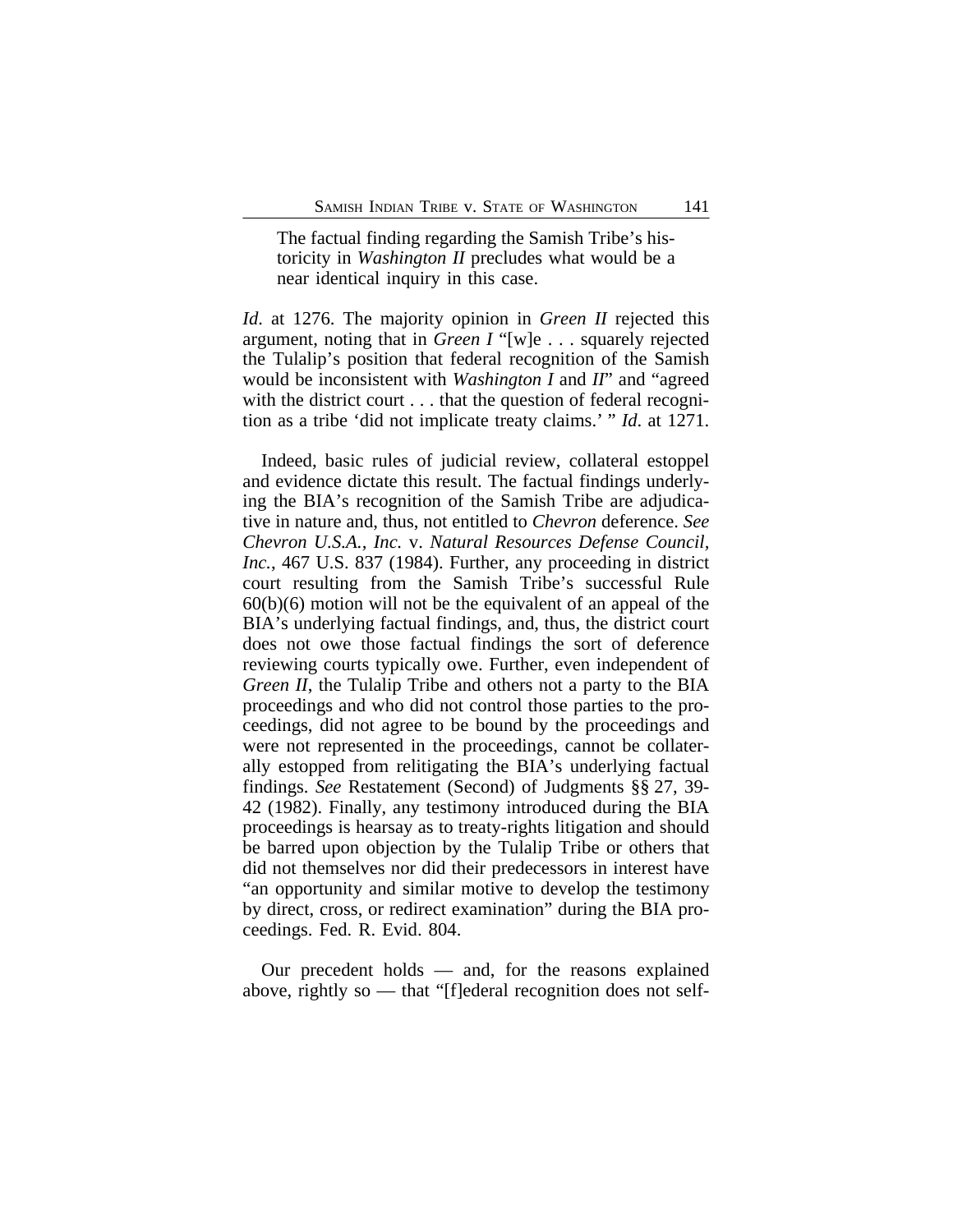The factual finding regarding the Samish Tribe's historicity in *Washington II* precludes what would be a near identical inquiry in this case.

*Id*. at 1276. The majority opinion in *Green II* rejected this argument, noting that in *Green I* "[w]e . . . squarely rejected the Tulalip's position that federal recognition of the Samish would be inconsistent with *Washington I* and *II*" and "agreed with the district court . . . that the question of federal recognition as a tribe 'did not implicate treaty claims.' " *Id*. at 1271.

Indeed, basic rules of judicial review, collateral estoppel and evidence dictate this result. The factual findings underlying the BIA's recognition of the Samish Tribe are adjudicative in nature and, thus, not entitled to *Chevron* deference. *See Chevron U.S.A., Inc.* v. *Natural Resources Defense Council, Inc.*, 467 U.S. 837 (1984). Further, any proceeding in district court resulting from the Samish Tribe's successful Rule  $60(b)(6)$  motion will not be the equivalent of an appeal of the BIA's underlying factual findings, and, thus, the district court does not owe those factual findings the sort of deference reviewing courts typically owe. Further, even independent of *Green II*, the Tulalip Tribe and others not a party to the BIA proceedings and who did not control those parties to the proceedings, did not agree to be bound by the proceedings and were not represented in the proceedings, cannot be collaterally estopped from relitigating the BIA's underlying factual findings. *See* Restatement (Second) of Judgments §§ 27, 39- 42 (1982). Finally, any testimony introduced during the BIA proceedings is hearsay as to treaty-rights litigation and should be barred upon objection by the Tulalip Tribe or others that did not themselves nor did their predecessors in interest have "an opportunity and similar motive to develop the testimony by direct, cross, or redirect examination" during the BIA proceedings. Fed. R. Evid. 804.

Our precedent holds — and, for the reasons explained above, rightly so — that "[f]ederal recognition does not self